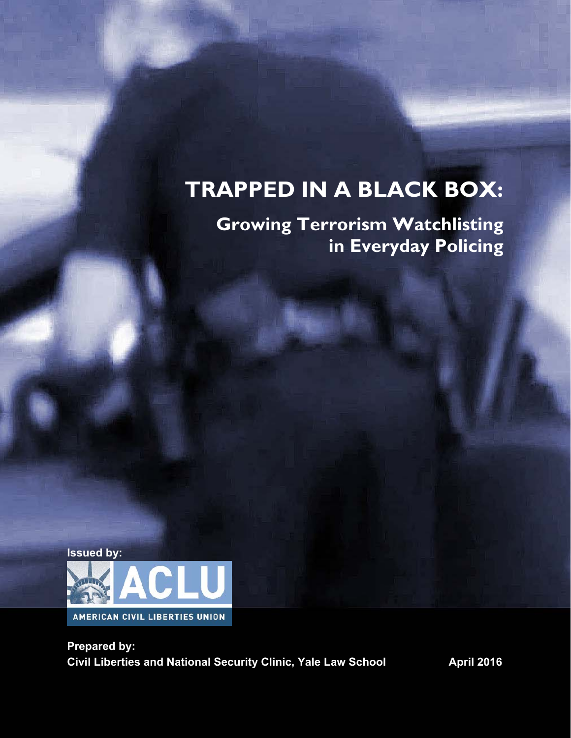# **TRAPPED IN A BLACK BOX:**

## **Growing Terrorism Watchlisting in Everyday Policing**



**Prepared by: Civil Liberties and National Security Clinic, Yale Law School April 2016**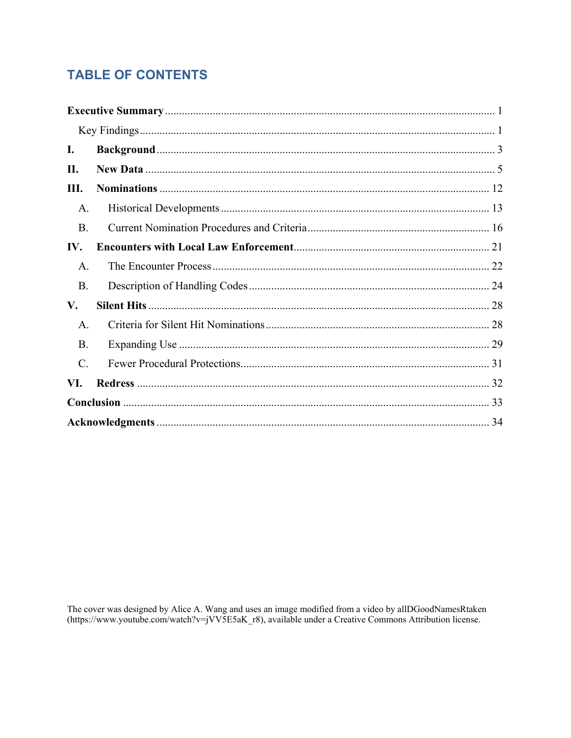## **TABLE OF CONTENTS**

| I.              |  |
|-----------------|--|
| П.              |  |
| Ш.              |  |
| A.              |  |
| <b>B.</b>       |  |
| IV.             |  |
| A.              |  |
| <b>B.</b>       |  |
| V.              |  |
| A.              |  |
| <b>B.</b>       |  |
| $\mathcal{C}$ . |  |
| VI.             |  |
|                 |  |
|                 |  |

The cover was designed by Alice A. Wang and uses an image modified from a video by allDGoodNamesRtaken (https://www.youtube.com/watch?v=jVV5E5aK\_r8), available under a Creative Commons Attribution license.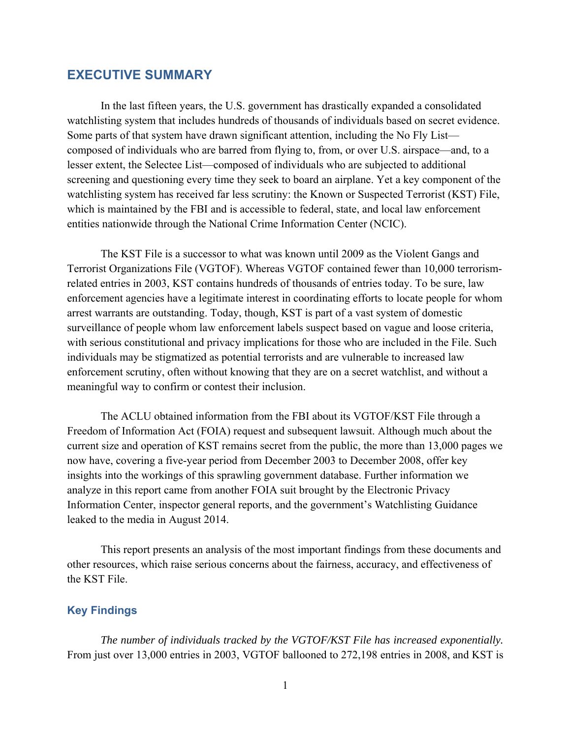#### **EXECUTIVE SUMMARY**

In the last fifteen years, the U.S. government has drastically expanded a consolidated watchlisting system that includes hundreds of thousands of individuals based on secret evidence. Some parts of that system have drawn significant attention, including the No Fly List composed of individuals who are barred from flying to, from, or over U.S. airspace—and, to a lesser extent, the Selectee List—composed of individuals who are subjected to additional screening and questioning every time they seek to board an airplane. Yet a key component of the watchlisting system has received far less scrutiny: the Known or Suspected Terrorist (KST) File, which is maintained by the FBI and is accessible to federal, state, and local law enforcement entities nationwide through the National Crime Information Center (NCIC).

The KST File is a successor to what was known until 2009 as the Violent Gangs and Terrorist Organizations File (VGTOF). Whereas VGTOF contained fewer than 10,000 terrorismrelated entries in 2003, KST contains hundreds of thousands of entries today. To be sure, law enforcement agencies have a legitimate interest in coordinating efforts to locate people for whom arrest warrants are outstanding. Today, though, KST is part of a vast system of domestic surveillance of people whom law enforcement labels suspect based on vague and loose criteria, with serious constitutional and privacy implications for those who are included in the File. Such individuals may be stigmatized as potential terrorists and are vulnerable to increased law enforcement scrutiny, often without knowing that they are on a secret watchlist, and without a meaningful way to confirm or contest their inclusion.

The ACLU obtained information from the FBI about its VGTOF/KST File through a Freedom of Information Act (FOIA) request and subsequent lawsuit. Although much about the current size and operation of KST remains secret from the public, the more than 13,000 pages we now have, covering a five-year period from December 2003 to December 2008, offer key insights into the workings of this sprawling government database. Further information we analyze in this report came from another FOIA suit brought by the Electronic Privacy Information Center, inspector general reports, and the government's Watchlisting Guidance leaked to the media in August 2014.

This report presents an analysis of the most important findings from these documents and other resources, which raise serious concerns about the fairness, accuracy, and effectiveness of the KST File.

#### **Key Findings**

*The number of individuals tracked by the VGTOF/KST File has increased exponentially.* From just over 13,000 entries in 2003, VGTOF ballooned to 272,198 entries in 2008, and KST is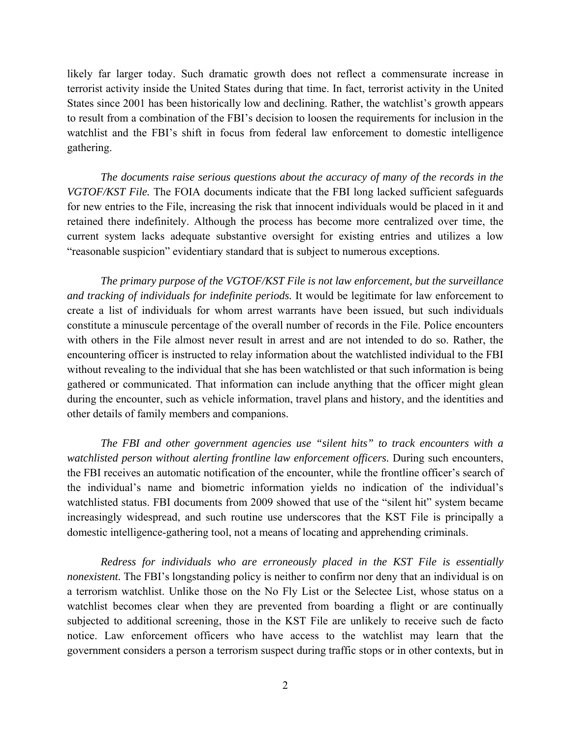likely far larger today. Such dramatic growth does not reflect a commensurate increase in terrorist activity inside the United States during that time. In fact, terrorist activity in the United States since 2001 has been historically low and declining. Rather, the watchlist's growth appears to result from a combination of the FBI's decision to loosen the requirements for inclusion in the watchlist and the FBI's shift in focus from federal law enforcement to domestic intelligence gathering.

*The documents raise serious questions about the accuracy of many of the records in the VGTOF/KST File.* The FOIA documents indicate that the FBI long lacked sufficient safeguards for new entries to the File, increasing the risk that innocent individuals would be placed in it and retained there indefinitely. Although the process has become more centralized over time, the current system lacks adequate substantive oversight for existing entries and utilizes a low "reasonable suspicion" evidentiary standard that is subject to numerous exceptions.

*The primary purpose of the VGTOF/KST File is not law enforcement, but the surveillance and tracking of individuals for indefinite periods.* It would be legitimate for law enforcement to create a list of individuals for whom arrest warrants have been issued, but such individuals constitute a minuscule percentage of the overall number of records in the File. Police encounters with others in the File almost never result in arrest and are not intended to do so. Rather, the encountering officer is instructed to relay information about the watchlisted individual to the FBI without revealing to the individual that she has been watchlisted or that such information is being gathered or communicated. That information can include anything that the officer might glean during the encounter, such as vehicle information, travel plans and history, and the identities and other details of family members and companions.

*The FBI and other government agencies use "silent hits" to track encounters with a watchlisted person without alerting frontline law enforcement officers.* During such encounters, the FBI receives an automatic notification of the encounter, while the frontline officer's search of the individual's name and biometric information yields no indication of the individual's watchlisted status. FBI documents from 2009 showed that use of the "silent hit" system became increasingly widespread, and such routine use underscores that the KST File is principally a domestic intelligence-gathering tool, not a means of locating and apprehending criminals.

*Redress for individuals who are erroneously placed in the KST File is essentially nonexistent.* The FBI's longstanding policy is neither to confirm nor deny that an individual is on a terrorism watchlist. Unlike those on the No Fly List or the Selectee List, whose status on a watchlist becomes clear when they are prevented from boarding a flight or are continually subjected to additional screening, those in the KST File are unlikely to receive such de facto notice. Law enforcement officers who have access to the watchlist may learn that the government considers a person a terrorism suspect during traffic stops or in other contexts, but in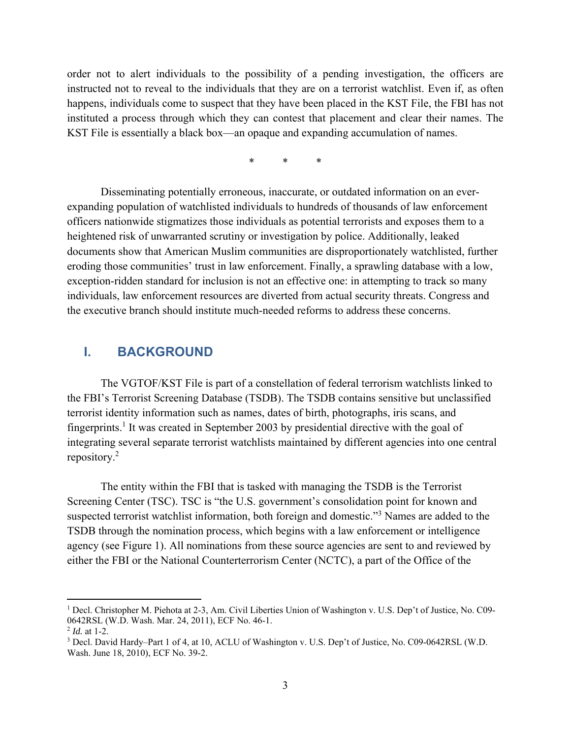order not to alert individuals to the possibility of a pending investigation, the officers are instructed not to reveal to the individuals that they are on a terrorist watchlist. Even if, as often happens, individuals come to suspect that they have been placed in the KST File, the FBI has not instituted a process through which they can contest that placement and clear their names. The KST File is essentially a black box—an opaque and expanding accumulation of names.

\* \* \*

Disseminating potentially erroneous, inaccurate, or outdated information on an everexpanding population of watchlisted individuals to hundreds of thousands of law enforcement officers nationwide stigmatizes those individuals as potential terrorists and exposes them to a heightened risk of unwarranted scrutiny or investigation by police. Additionally, leaked documents show that American Muslim communities are disproportionately watchlisted, further eroding those communities' trust in law enforcement. Finally, a sprawling database with a low, exception-ridden standard for inclusion is not an effective one: in attempting to track so many individuals, law enforcement resources are diverted from actual security threats. Congress and the executive branch should institute much-needed reforms to address these concerns.

## **I. BACKGROUND**

The VGTOF/KST File is part of a constellation of federal terrorism watchlists linked to the FBI's Terrorist Screening Database (TSDB). The TSDB contains sensitive but unclassified terrorist identity information such as names, dates of birth, photographs, iris scans, and fingerprints.<sup>1</sup> It was created in September 2003 by presidential directive with the goal of integrating several separate terrorist watchlists maintained by different agencies into one central repository.<sup>2</sup>

The entity within the FBI that is tasked with managing the TSDB is the Terrorist Screening Center (TSC). TSC is "the U.S. government's consolidation point for known and suspected terrorist watchlist information, both foreign and domestic."<sup>3</sup> Names are added to the TSDB through the nomination process, which begins with a law enforcement or intelligence agency (see Figure 1). All nominations from these source agencies are sent to and reviewed by either the FBI or the National Counterterrorism Center (NCTC), a part of the Office of the

<sup>&</sup>lt;sup>1</sup> Decl. Christopher M. Piehota at 2-3, Am. Civil Liberties Union of Washington v. U.S. Dep't of Justice, No. C09-0642RSL (W.D. Wash. Mar. 24, 2011), ECF No. 46-1.

<sup>2</sup> *Id.* at 1-2.

<sup>&</sup>lt;sup>3</sup> Decl. David Hardy–Part 1 of 4, at 10, ACLU of Washington v. U.S. Dep't of Justice, No. C09-0642RSL (W.D. Wash. June 18, 2010), ECF No. 39-2.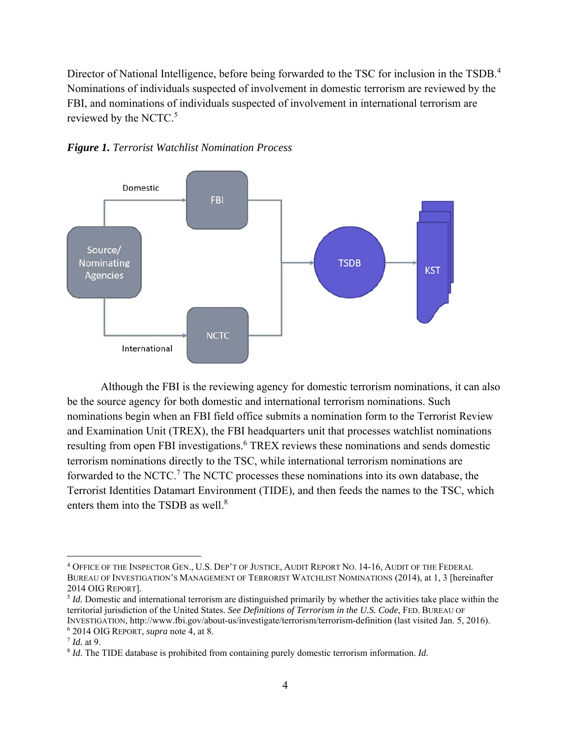Director of National Intelligence, before being forwarded to the TSC for inclusion in the TSDB.<sup>4</sup> Nominations of individuals suspected of involvement in domestic terrorism are reviewed by the FBI, and nominations of individuals suspected of involvement in international terrorism are reviewed by the NCTC.<sup>5</sup>





Although the FBI is the reviewing agency for domestic terrorism nominations, it can also be the source agency for both domestic and international terrorism nominations. Such nominations begin when an FBI field office submits a nomination form to the Terrorist Review and Examination Unit (TREX), the FBI headquarters unit that processes watchlist nominations resulting from open FBI investigations.<sup>6</sup> TREX reviews these nominations and sends domestic terrorism nominations directly to the TSC, while international terrorism nominations are forwarded to the NCTC.<sup>7</sup> The NCTC processes these nominations into its own database, the Terrorist Identities Datamart Environment (TIDE), and then feeds the names to the TSC, which enters them into the TSDB as well.<sup>8</sup>

<u>.</u>

<sup>4</sup> OFFICE OF THE INSPECTOR GEN., U.S. DEP'T OF JUSTICE, AUDIT REPORT NO. 14-16, AUDIT OF THE FEDERAL BUREAU OF INVESTIGATION'S MANAGEMENT OF TERRORIST WATCHLIST NOMINATIONS (2014), at 1, 3 [hereinafter 2014 OIG REPORT]. 5 *Id.* Domestic and international terrorism are distinguished primarily by whether the activities take place within the

territorial jurisdiction of the United States. *See Definitions of Terrorism in the U.S. Code*, FED. BUREAU OF INVESTIGATION, http://www.fbi.gov/about-us/investigate/terrorism/terrorism-definition (last visited Jan. 5, 2016). 6 2014 OIG REPORT, *supra* note 4, at 8. 7 *Id.* at 9.

<sup>8</sup> *Id*. The TIDE database is prohibited from containing purely domestic terrorism information. *Id.*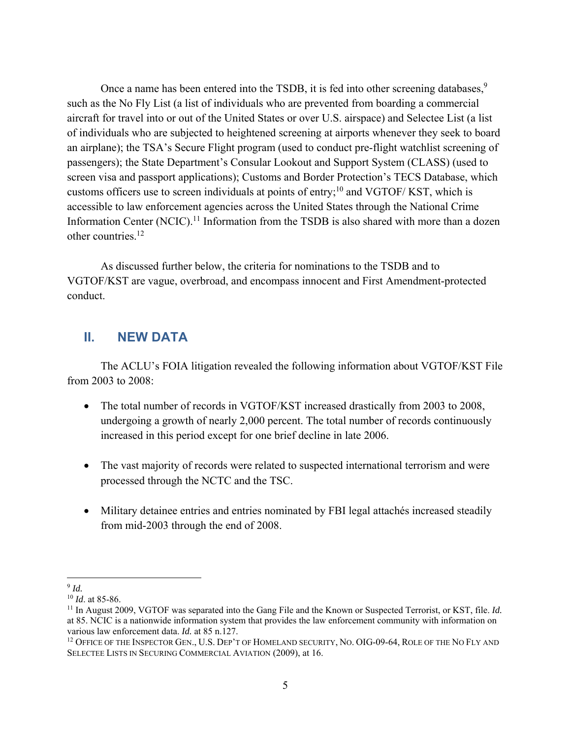Once a name has been entered into the TSDB, it is fed into other screening databases,  $9$ such as the No Fly List (a list of individuals who are prevented from boarding a commercial aircraft for travel into or out of the United States or over U.S. airspace) and Selectee List (a list of individuals who are subjected to heightened screening at airports whenever they seek to board an airplane); the TSA's Secure Flight program (used to conduct pre-flight watchlist screening of passengers); the State Department's Consular Lookout and Support System (CLASS) (used to screen visa and passport applications); Customs and Border Protection's TECS Database, which customs officers use to screen individuals at points of entry;<sup>10</sup> and VGTOF/ KST, which is accessible to law enforcement agencies across the United States through the National Crime Information Center (NCIC).<sup>11</sup> Information from the TSDB is also shared with more than a dozen other countries.12

As discussed further below, the criteria for nominations to the TSDB and to VGTOF/KST are vague, overbroad, and encompass innocent and First Amendment-protected conduct.

## **II. NEW DATA**

The ACLU's FOIA litigation revealed the following information about VGTOF/KST File from 2003 to 2008:

- The total number of records in VGTOF/KST increased drastically from 2003 to 2008, undergoing a growth of nearly 2,000 percent. The total number of records continuously increased in this period except for one brief decline in late 2006.
- The vast majority of records were related to suspected international terrorism and were processed through the NCTC and the TSC.
- Military detainee entries and entries nominated by FBI legal attachés increased steadily from mid-2003 through the end of 2008.

 $\overline{a}$ 

 $\frac{9}{10}$  *Id.* at 85-86.

<sup>&</sup>lt;sup>11</sup> In August 2009, VGTOF was separated into the Gang File and the Known or Suspected Terrorist, or KST, file. *Id.* at 85. NCIC is a nationwide information system that provides the law enforcement community with information on various law enforcement data.  $Id$ . at 85 n.127.

<sup>&</sup>lt;sup>12</sup> OFFICE OF THE INSPECTOR GEN., U.S. DEP'T OF HOMELAND SECURITY, NO. OIG-09-64, ROLE OF THE NO FLY AND SELECTEE LISTS IN SECURING COMMERCIAL AVIATION (2009), at 16.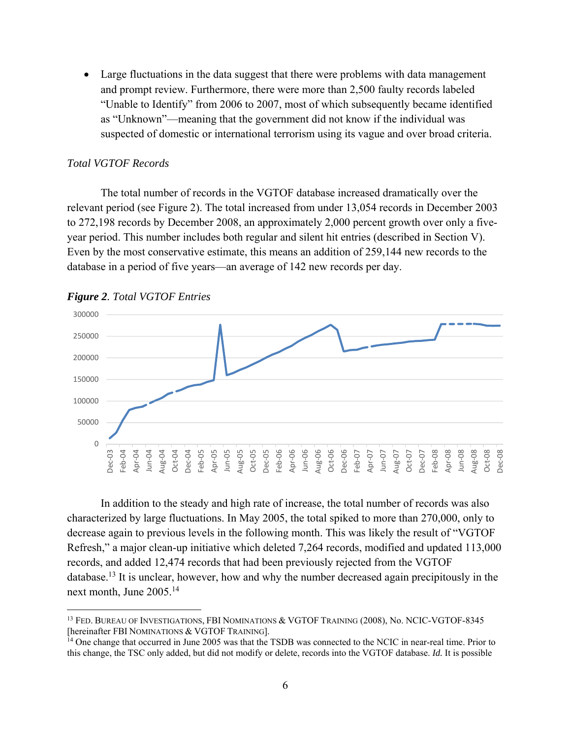Large fluctuations in the data suggest that there were problems with data management and prompt review. Furthermore, there were more than 2,500 faulty records labeled "Unable to Identify" from 2006 to 2007, most of which subsequently became identified as "Unknown"—meaning that the government did not know if the individual was suspected of domestic or international terrorism using its vague and over broad criteria.

#### *Total VGTOF Records*

 The total number of records in the VGTOF database increased dramatically over the relevant period (see Figure 2). The total increased from under 13,054 records in December 2003 to 272,198 records by December 2008, an approximately 2,000 percent growth over only a fiveyear period. This number includes both regular and silent hit entries (described in Section V). Even by the most conservative estimate, this means an addition of 259,144 new records to the database in a period of five years—an average of 142 new records per day.





 $\overline{a}$ 

In addition to the steady and high rate of increase, the total number of records was also characterized by large fluctuations. In May 2005, the total spiked to more than 270,000, only to decrease again to previous levels in the following month. This was likely the result of "VGTOF Refresh," a major clean-up initiative which deleted 7,264 records, modified and updated 113,000 records, and added 12,474 records that had been previously rejected from the VGTOF database.13 It is unclear, however, how and why the number decreased again precipitously in the next month, June 2005.<sup>14</sup>

<sup>&</sup>lt;sup>13</sup> FED. BUREAU OF INVESTIGATIONS, FBI NOMINATIONS & VGTOF TRAINING (2008), No. NCIC-VGTOF-8345 [hereinafter FBI NOMINATIONS & VGTOF TRAINING].

 $\frac{1}{4}$  One change that occurred in June 2005 was that the TSDB was connected to the NCIC in near-real time. Prior to this change, the TSC only added, but did not modify or delete, records into the VGTOF database. *Id.* It is possible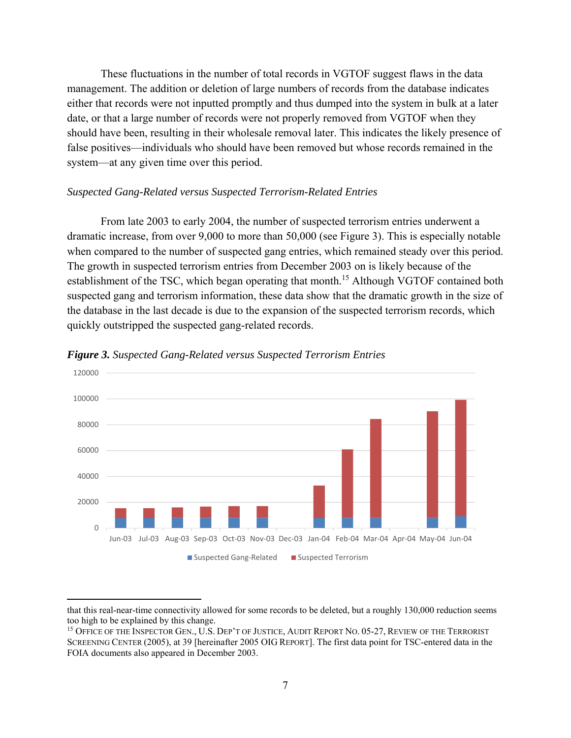These fluctuations in the number of total records in VGTOF suggest flaws in the data management. The addition or deletion of large numbers of records from the database indicates either that records were not inputted promptly and thus dumped into the system in bulk at a later date, or that a large number of records were not properly removed from VGTOF when they should have been, resulting in their wholesale removal later. This indicates the likely presence of false positives—individuals who should have been removed but whose records remained in the system—at any given time over this period.

#### *Suspected Gang-Related versus Suspected Terrorism-Related Entries*

From late 2003 to early 2004, the number of suspected terrorism entries underwent a dramatic increase, from over 9,000 to more than 50,000 (see Figure 3). This is especially notable when compared to the number of suspected gang entries, which remained steady over this period. The growth in suspected terrorism entries from December 2003 on is likely because of the establishment of the TSC, which began operating that month.<sup>15</sup> Although VGTOF contained both suspected gang and terrorism information, these data show that the dramatic growth in the size of the database in the last decade is due to the expansion of the suspected terrorism records, which quickly outstripped the suspected gang-related records.



*Figure 3. Suspected Gang-Related versus Suspected Terrorism Entries* 

that this real-near-time connectivity allowed for some records to be deleted, but a roughly 130,000 reduction seems too high to be explained by this change.

<sup>&</sup>lt;sup>15</sup> OFFICE OF THE INSPECTOR GEN., U.S. DEP'T OF JUSTICE, AUDIT REPORT NO. 05-27, REVIEW OF THE TERRORIST SCREENING CENTER (2005), at 39 [hereinafter 2005 OIG REPORT]. The first data point for TSC-entered data in the FOIA documents also appeared in December 2003.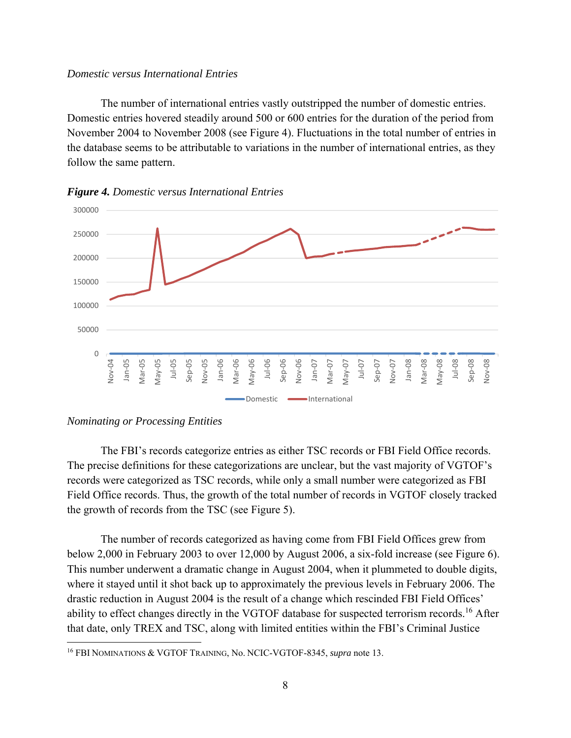#### *Domestic versus International Entries*

The number of international entries vastly outstripped the number of domestic entries. Domestic entries hovered steadily around 500 or 600 entries for the duration of the period from November 2004 to November 2008 (see Figure 4). Fluctuations in the total number of entries in the database seems to be attributable to variations in the number of international entries, as they follow the same pattern.



*Figure 4. Domestic versus International Entries* 

#### *Nominating or Processing Entities*

1

The FBI's records categorize entries as either TSC records or FBI Field Office records. The precise definitions for these categorizations are unclear, but the vast majority of VGTOF's records were categorized as TSC records, while only a small number were categorized as FBI Field Office records. Thus, the growth of the total number of records in VGTOF closely tracked the growth of records from the TSC (see Figure 5).

The number of records categorized as having come from FBI Field Offices grew from below 2,000 in February 2003 to over 12,000 by August 2006, a six-fold increase (see Figure 6). This number underwent a dramatic change in August 2004, when it plummeted to double digits, where it stayed until it shot back up to approximately the previous levels in February 2006. The drastic reduction in August 2004 is the result of a change which rescinded FBI Field Offices' ability to effect changes directly in the VGTOF database for suspected terrorism records.<sup>16</sup> After that date, only TREX and TSC, along with limited entities within the FBI's Criminal Justice

<sup>16</sup> FBI NOMINATIONS & VGTOF TRAINING, No. NCIC-VGTOF-8345, *supra* note 13.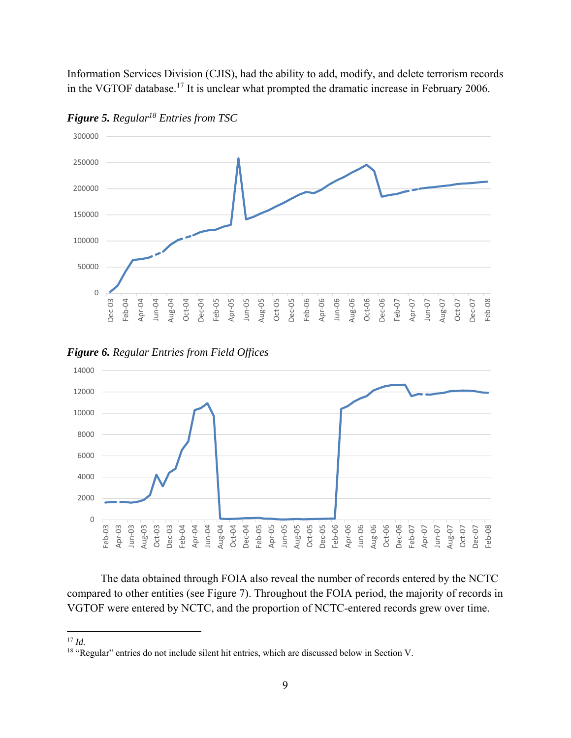Information Services Division (CJIS), had the ability to add, modify, and delete terrorism records in the VGTOF database.17 It is unclear what prompted the dramatic increase in February 2006.



*Figure 5. Regular18 Entries from TSC* 





The data obtained through FOIA also reveal the number of records entered by the NCTC compared to other entities (see Figure 7). Throughout the FOIA period, the majority of records in VGTOF were entered by NCTC, and the proportion of NCTC-entered records grew over time.

 $17$  *Id.* 

<sup>&</sup>lt;sup>18</sup> "Regular" entries do not include silent hit entries, which are discussed below in Section V.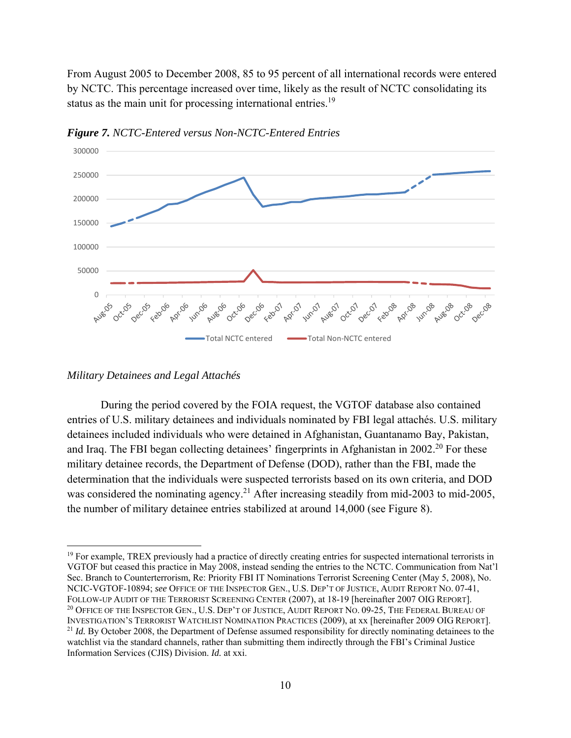From August 2005 to December 2008, 85 to 95 percent of all international records were entered by NCTC. This percentage increased over time, likely as the result of NCTC consolidating its status as the main unit for processing international entries.<sup>19</sup>



*Figure 7. NCTC-Entered versus Non-NCTC-Entered Entries* 

1

During the period covered by the FOIA request, the VGTOF database also contained entries of U.S. military detainees and individuals nominated by FBI legal attachés. U.S. military detainees included individuals who were detained in Afghanistan, Guantanamo Bay, Pakistan, and Iraq. The FBI began collecting detainees' fingerprints in Afghanistan in  $2002<sup>20</sup>$  For these military detainee records, the Department of Defense (DOD), rather than the FBI, made the determination that the individuals were suspected terrorists based on its own criteria, and DOD was considered the nominating agency.<sup>21</sup> After increasing steadily from mid-2003 to mid-2005, the number of military detainee entries stabilized at around 14,000 (see Figure 8).

*Military Detainees and Legal Attachés* 

<sup>&</sup>lt;sup>19</sup> For example, TREX previously had a practice of directly creating entries for suspected international terrorists in VGTOF but ceased this practice in May 2008, instead sending the entries to the NCTC. Communication from Nat'l Sec. Branch to Counterterrorism, Re: Priority FBI IT Nominations Terrorist Screening Center (May 5, 2008), No. NCIC-VGTOF-10894; *see* OFFICE OF THE INSPECTOR GEN., U.S. DEP'T OF JUSTICE, AUDIT REPORT NO. 07-41, FOLLOW-UP AUDIT OF THE TERRORIST SCREENING CENTER (2007), at 18-19 [hereinafter 2007 OIG REPORT]. <sup>20</sup> OFFICE OF THE INSPECTOR GEN., U.S. DEP'T OF JUSTICE, AUDIT REPORT NO. 09-25, THE FEDERAL BUREAU OF INVESTIGATION'S TERRORIST WATCHLIST NOMINATION PRACTICES (2009), at xx [hereinafter 2009 OIG REPORT]. 21 *Id.* By October 2008, the Department of Defense assumed responsibility for directly nominating detainees to the watchlist via the standard channels, rather than submitting them indirectly through the FBI's Criminal Justice Information Services (CJIS) Division. *Id.* at xxi.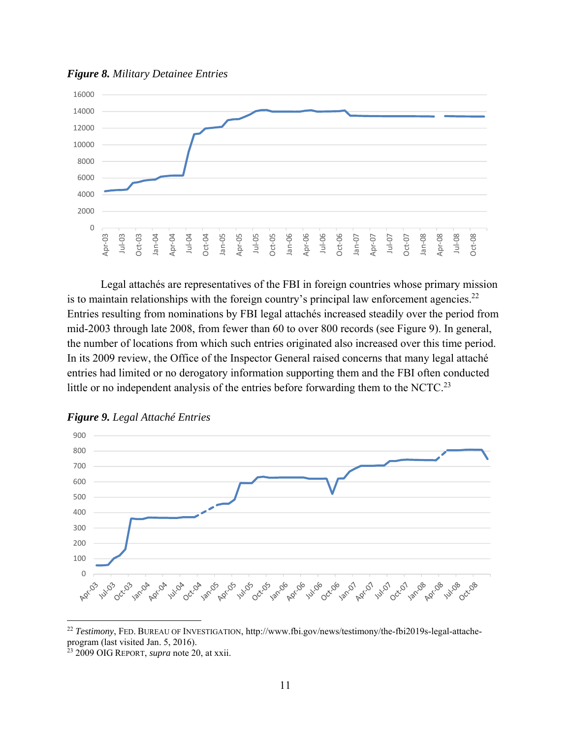

*Figure 8. Military Detainee Entries*

Legal attachés are representatives of the FBI in foreign countries whose primary mission is to maintain relationships with the foreign country's principal law enforcement agencies.<sup>22</sup> Entries resulting from nominations by FBI legal attachés increased steadily over the period from mid-2003 through late 2008, from fewer than 60 to over 800 records (see Figure 9). In general, the number of locations from which such entries originated also increased over this time period. In its 2009 review, the Office of the Inspector General raised concerns that many legal attaché entries had limited or no derogatory information supporting them and the FBI often conducted little or no independent analysis of the entries before forwarding them to the NCTC.<sup>23</sup>



*Figure 9. Legal Attaché Entries*

<sup>22</sup> *Testimony*, FED. BUREAU OF INVESTIGATION, http://www.fbi.gov/news/testimony/the-fbi2019s-legal-attacheprogram (last visited Jan. 5, 2016).

<u>.</u>

<sup>23 2009</sup> OIG REPORT, *supra* note 20, at xxii.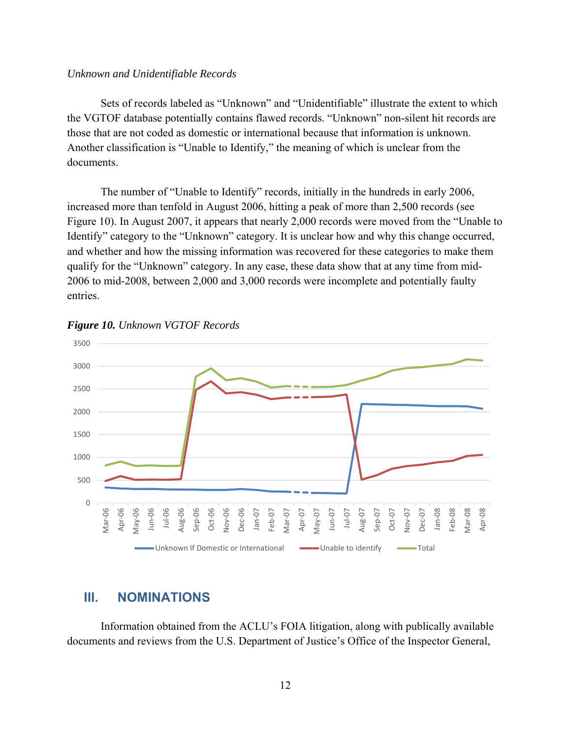#### *Unknown and Unidentifiable Records*

 Sets of records labeled as "Unknown" and "Unidentifiable" illustrate the extent to which the VGTOF database potentially contains flawed records. "Unknown" non-silent hit records are those that are not coded as domestic or international because that information is unknown. Another classification is "Unable to Identify," the meaning of which is unclear from the documents.

 The number of "Unable to Identify" records, initially in the hundreds in early 2006, increased more than tenfold in August 2006, hitting a peak of more than 2,500 records (see Figure 10). In August 2007, it appears that nearly 2,000 records were moved from the "Unable to Identify" category to the "Unknown" category. It is unclear how and why this change occurred, and whether and how the missing information was recovered for these categories to make them qualify for the "Unknown" category. In any case, these data show that at any time from mid-2006 to mid-2008, between 2,000 and 3,000 records were incomplete and potentially faulty entries.





## **III. NOMINATIONS**

Information obtained from the ACLU's FOIA litigation, along with publically available documents and reviews from the U.S. Department of Justice's Office of the Inspector General,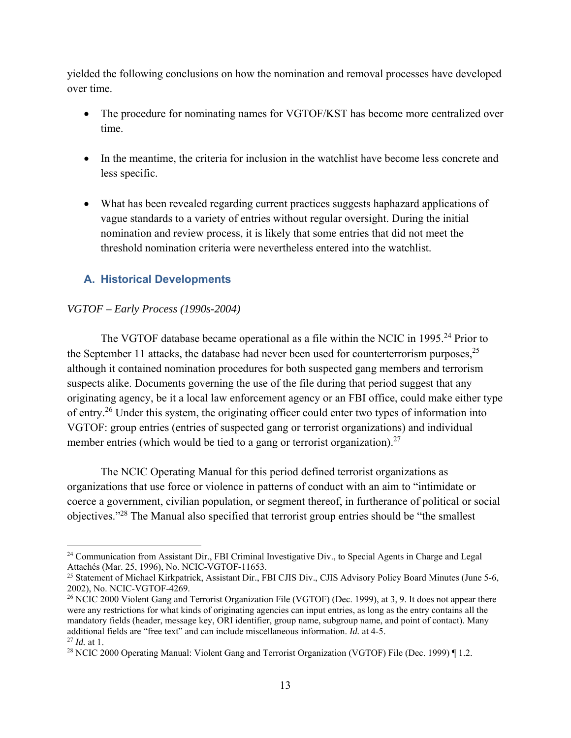yielded the following conclusions on how the nomination and removal processes have developed over time.

- The procedure for nominating names for VGTOF/KST has become more centralized over time.
- In the meantime, the criteria for inclusion in the watchlist have become less concrete and less specific.
- What has been revealed regarding current practices suggests haphazard applications of vague standards to a variety of entries without regular oversight. During the initial nomination and review process, it is likely that some entries that did not meet the threshold nomination criteria were nevertheless entered into the watchlist.

## **A. Historical Developments**

#### *VGTOF – Early Process (1990s-2004)*

 $\overline{a}$ 

The VGTOF database became operational as a file within the NCIC in 1995.<sup>24</sup> Prior to the September 11 attacks, the database had never been used for counterterrorism purposes,  $2^5$ although it contained nomination procedures for both suspected gang members and terrorism suspects alike. Documents governing the use of the file during that period suggest that any originating agency, be it a local law enforcement agency or an FBI office, could make either type of entry.<sup>26</sup> Under this system, the originating officer could enter two types of information into VGTOF: group entries (entries of suspected gang or terrorist organizations) and individual member entries (which would be tied to a gang or terrorist organization).<sup>27</sup>

The NCIC Operating Manual for this period defined terrorist organizations as organizations that use force or violence in patterns of conduct with an aim to "intimidate or coerce a government, civilian population, or segment thereof, in furtherance of political or social objectives."28 The Manual also specified that terrorist group entries should be "the smallest

<sup>&</sup>lt;sup>24</sup> Communication from Assistant Dir., FBI Criminal Investigative Div., to Special Agents in Charge and Legal Attachés (Mar. 25, 1996), No. NCIC-VGTOF-11653.

<sup>&</sup>lt;sup>25</sup> Statement of Michael Kirkpatrick, Assistant Dir., FBI CJIS Div., CJIS Advisory Policy Board Minutes (June 5-6, 2002), No. NCIC-VGTOF-4269.

<sup>&</sup>lt;sup>26</sup> NCIC 2000 Violent Gang and Terrorist Organization File (VGTOF) (Dec. 1999), at 3, 9. It does not appear there were any restrictions for what kinds of originating agencies can input entries, as long as the entry contains all the mandatory fields (header, message key, ORI identifier, group name, subgroup name, and point of contact). Many additional fields are "free text" and can include miscellaneous information. *Id.* at 4-5. <sup>27</sup> *Id.* at 1.

<sup>28</sup> NCIC 2000 Operating Manual: Violent Gang and Terrorist Organization (VGTOF) File (Dec. 1999) ¶ 1.2.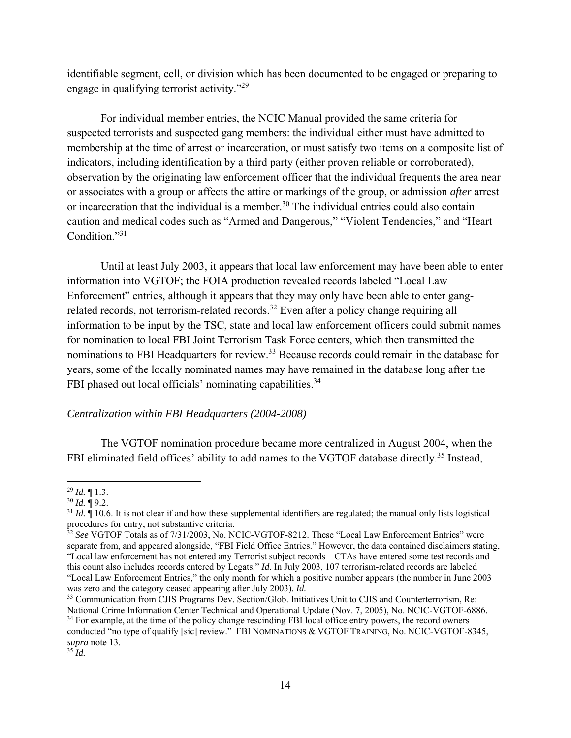identifiable segment, cell, or division which has been documented to be engaged or preparing to engage in qualifying terrorist activity."29

For individual member entries, the NCIC Manual provided the same criteria for suspected terrorists and suspected gang members: the individual either must have admitted to membership at the time of arrest or incarceration, or must satisfy two items on a composite list of indicators, including identification by a third party (either proven reliable or corroborated), observation by the originating law enforcement officer that the individual frequents the area near or associates with a group or affects the attire or markings of the group, or admission *after* arrest or incarceration that the individual is a member.<sup>30</sup> The individual entries could also contain caution and medical codes such as "Armed and Dangerous," "Violent Tendencies," and "Heart Condition."31

Until at least July 2003, it appears that local law enforcement may have been able to enter information into VGTOF; the FOIA production revealed records labeled "Local Law Enforcement" entries, although it appears that they may only have been able to enter gangrelated records, not terrorism-related records.<sup>32</sup> Even after a policy change requiring all information to be input by the TSC, state and local law enforcement officers could submit names for nomination to local FBI Joint Terrorism Task Force centers, which then transmitted the nominations to FBI Headquarters for review.<sup>33</sup> Because records could remain in the database for years, some of the locally nominated names may have remained in the database long after the FBI phased out local officials' nominating capabilities.<sup>34</sup>

#### *Centralization within FBI Headquarters (2004-2008)*

The VGTOF nomination procedure became more centralized in August 2004, when the FBI eliminated field offices' ability to add names to the VGTOF database directly.<sup>35</sup> Instead,

 $\overline{a}$ <sup>29</sup> *Id.* ¶ 1.3.

 $30$  *Id.*  $\overline{9}$  9.2.

 $31$  *Id.*  $\hat{=}$  10.6. It is not clear if and how these supplemental identifiers are regulated; the manual only lists logistical procedures for entry, not substantive criteria.

<sup>32</sup> *See* VGTOF Totals as of 7/31/2003, No. NCIC-VGTOF-8212. These "Local Law Enforcement Entries" were separate from, and appeared alongside, "FBI Field Office Entries." However, the data contained disclaimers stating, "Local law enforcement has not entered any Terrorist subject records—CTAs have entered some test records and this count also includes records entered by Legats." *Id*. In July 2003, 107 terrorism-related records are labeled "Local Law Enforcement Entries," the only month for which a positive number appears (the number in June 2003 was zero and the category ceased appearing after July 2003). *Id.* 

<sup>&</sup>lt;sup>33</sup> Communication from CJIS Programs Dev. Section/Glob. Initiatives Unit to CJIS and Counterterrorism, Re: National Crime Information Center Technical and Operational Update (Nov. 7, 2005), No. NCIC-VGTOF-6886. <sup>34</sup> For example, at the time of the policy change rescinding FBI local office entry powers, the record owners conducted "no type of qualify [sic] review." FBI NOMINATIONS & VGTOF TRAINING, No. NCIC-VGTOF-8345, *supra* note 13.

 $35 \dot{d}$ .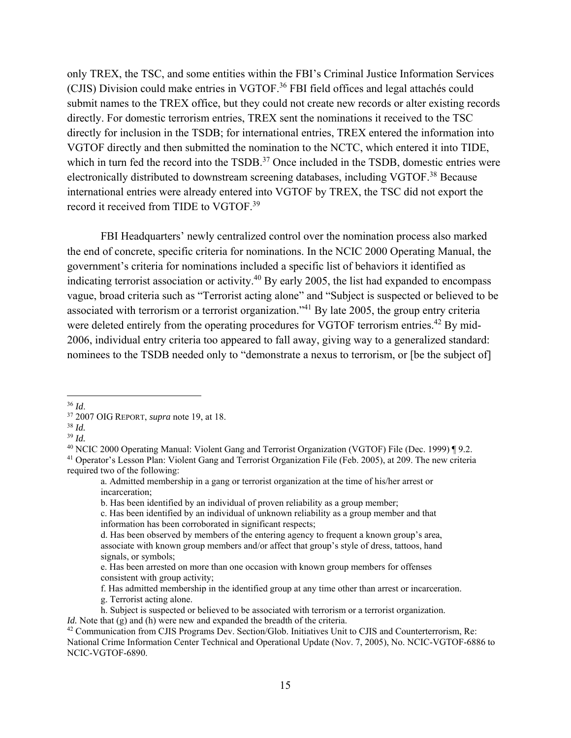only TREX, the TSC, and some entities within the FBI's Criminal Justice Information Services (CJIS) Division could make entries in VGTOF.36 FBI field offices and legal attachés could submit names to the TREX office, but they could not create new records or alter existing records directly. For domestic terrorism entries, TREX sent the nominations it received to the TSC directly for inclusion in the TSDB; for international entries, TREX entered the information into VGTOF directly and then submitted the nomination to the NCTC, which entered it into TIDE, which in turn fed the record into the TSDB.<sup>37</sup> Once included in the TSDB, domestic entries were electronically distributed to downstream screening databases, including VGTOF.<sup>38</sup> Because international entries were already entered into VGTOF by TREX, the TSC did not export the record it received from TIDE to VGTOF.<sup>39</sup>

FBI Headquarters' newly centralized control over the nomination process also marked the end of concrete, specific criteria for nominations. In the NCIC 2000 Operating Manual, the government's criteria for nominations included a specific list of behaviors it identified as indicating terrorist association or activity.<sup>40</sup> By early 2005, the list had expanded to encompass vague, broad criteria such as "Terrorist acting alone" and "Subject is suspected or believed to be associated with terrorism or a terrorist organization."41 By late 2005, the group entry criteria were deleted entirely from the operating procedures for VGTOF terrorism entries.<sup>42</sup> By mid-2006, individual entry criteria too appeared to fall away, giving way to a generalized standard: nominees to the TSDB needed only to "demonstrate a nexus to terrorism, or [be the subject of]

<u>.</u>

<sup>36</sup> *Id*. 37 2007 OIG REPORT, *supra* note 19, at 18.

<sup>38</sup> *Id.* 

<sup>&</sup>lt;sup>39</sup> *Id.*<br><sup>40</sup> NCIC 2000 Operating Manual: Violent Gang and Terrorist Organization (VGTOF) File (Dec. 1999) ¶ 9.2.

<sup>&</sup>lt;sup>41</sup> Operator's Lesson Plan: Violent Gang and Terrorist Organization File (Feb. 2005), at 209. The new criteria required two of the following:

a. Admitted membership in a gang or terrorist organization at the time of his/her arrest or incarceration;

b. Has been identified by an individual of proven reliability as a group member;

c. Has been identified by an individual of unknown reliability as a group member and that information has been corroborated in significant respects;

d. Has been observed by members of the entering agency to frequent a known group's area, associate with known group members and/or affect that group's style of dress, tattoos, hand signals, or symbols;

e. Has been arrested on more than one occasion with known group members for offenses consistent with group activity;

f. Has admitted membership in the identified group at any time other than arrest or incarceration. g. Terrorist acting alone.

h. Subject is suspected or believed to be associated with terrorism or a terrorist organization.

*Id.* Note that (g) and (h) were new and expanded the breadth of the criteria.<br><sup>42</sup> Communication from CJIS Programs Dev. Section/Glob. Initiatives Unit to CJIS and Counterterrorism, Re: National Crime Information Center Technical and Operational Update (Nov. 7, 2005), No. NCIC-VGTOF-6886 to NCIC-VGTOF-6890.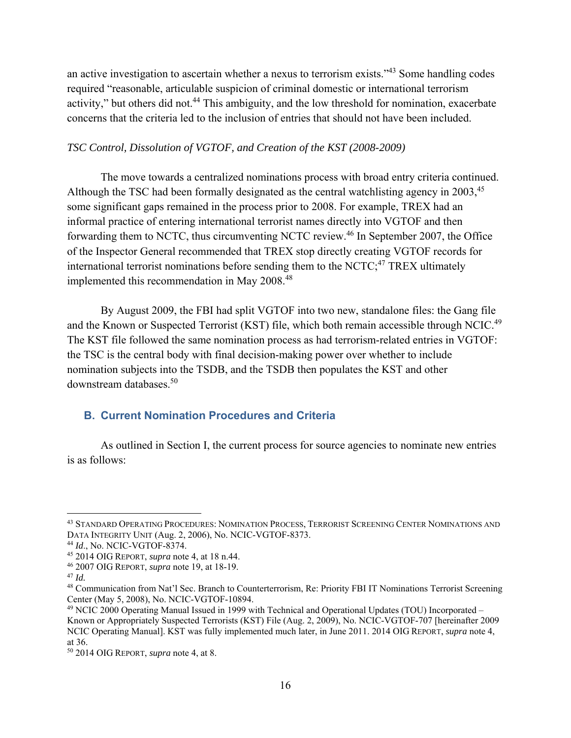an active investigation to ascertain whether a nexus to terrorism exists."43 Some handling codes required "reasonable, articulable suspicion of criminal domestic or international terrorism activity," but others did not.<sup>44</sup> This ambiguity, and the low threshold for nomination, exacerbate concerns that the criteria led to the inclusion of entries that should not have been included.

#### *TSC Control, Dissolution of VGTOF, and Creation of the KST (2008-2009)*

The move towards a centralized nominations process with broad entry criteria continued. Although the TSC had been formally designated as the central watchlisting agency in 2003,<sup>45</sup> some significant gaps remained in the process prior to 2008. For example, TREX had an informal practice of entering international terrorist names directly into VGTOF and then forwarding them to NCTC, thus circumventing NCTC review.46 In September 2007, the Office of the Inspector General recommended that TREX stop directly creating VGTOF records for international terrorist nominations before sending them to the NCTC; $47$  TREX ultimately implemented this recommendation in May 2008.<sup>48</sup>

By August 2009, the FBI had split VGTOF into two new, standalone files: the Gang file and the Known or Suspected Terrorist (KST) file, which both remain accessible through NCIC.<sup>49</sup> The KST file followed the same nomination process as had terrorism-related entries in VGTOF: the TSC is the central body with final decision-making power over whether to include nomination subjects into the TSDB, and the TSDB then populates the KST and other downstream databases.50

## **B. Current Nomination Procedures and Criteria**

As outlined in Section I, the current process for source agencies to nominate new entries is as follows:

<sup>43</sup> STANDARD OPERATING PROCEDURES: NOMINATION PROCESS, TERRORIST SCREENING CENTER NOMINATIONS AND DATA INTEGRITY UNIT (Aug. 2, 2006), No. NCIC-VGTOF-8373. 44 *Id*., No. NCIC-VGTOF-8374.

<sup>45 2014</sup> OIG REPORT, *supra* note 4, at 18 n.44.

<sup>46 2007</sup> OIG REPORT, *supra* note 19, at 18-19.

 $47$  *Id.* 

<sup>48</sup> Communication from Nat'l Sec. Branch to Counterterrorism, Re: Priority FBI IT Nominations Terrorist Screening Center (May 5, 2008), No. NCIC-VGTOF-10894.

<sup>49</sup> NCIC 2000 Operating Manual Issued in 1999 with Technical and Operational Updates (TOU) Incorporated – Known or Appropriately Suspected Terrorists (KST) File (Aug. 2, 2009), No. NCIC-VGTOF-707 [hereinafter 2009 NCIC Operating Manual]. KST was fully implemented much later, in June 2011. 2014 OIG REPORT, *supra* note 4, at 36.

<sup>50 2014</sup> OIG REPORT, *supra* note 4, at 8.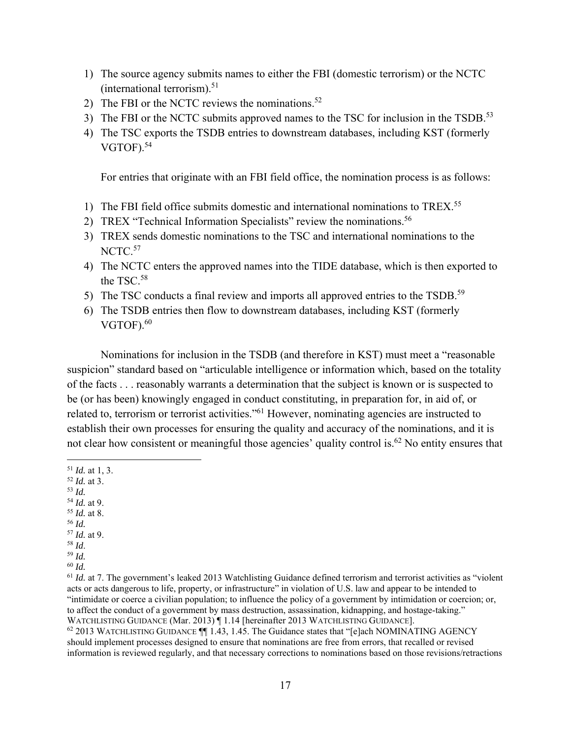- 1) The source agency submits names to either the FBI (domestic terrorism) or the NCTC (international terrorism). $51$
- 2) The FBI or the NCTC reviews the nominations.<sup>52</sup>
- 3) The FBI or the NCTC submits approved names to the TSC for inclusion in the TSDB.<sup>53</sup>
- 4) The TSC exports the TSDB entries to downstream databases, including KST (formerly VGTOF). $54$

For entries that originate with an FBI field office, the nomination process is as follows:

- 1) The FBI field office submits domestic and international nominations to TREX.55
- 2) TREX "Technical Information Specialists" review the nominations.<sup>56</sup>
- 3) TREX sends domestic nominations to the TSC and international nominations to the NCTC.<sup>57</sup>
- 4) The NCTC enters the approved names into the TIDE database, which is then exported to the TSC.<sup>58</sup>
- 5) The TSC conducts a final review and imports all approved entries to the TSDB.<sup>59</sup>
- 6) The TSDB entries then flow to downstream databases, including KST (formerly  $VGTOF<sup>60</sup>$

Nominations for inclusion in the TSDB (and therefore in KST) must meet a "reasonable suspicion" standard based on "articulable intelligence or information which, based on the totality of the facts . . . reasonably warrants a determination that the subject is known or is suspected to be (or has been) knowingly engaged in conduct constituting, in preparation for, in aid of, or related to, terrorism or terrorist activities."<sup>61</sup> However, nominating agencies are instructed to establish their own processes for ensuring the quality and accuracy of the nominations, and it is not clear how consistent or meaningful those agencies' quality control is.<sup>62</sup> No entity ensures that

- $\overline{a}$ <sup>51</sup> *Id.* at 1, 3.
- <sup>52</sup> *Id.* at 3.
- <sup>53</sup> *Id.*
- 
- <sup>54</sup> *Id.* at 9. 55 *Id.* at 8.
- <sup>56</sup> *Id.*
- $\frac{57}{58}$  *Id.* at 9.
- $59$  *Id.*
- <sup>60</sup> *Id.*

<sup>61</sup> *Id.* at 7. The government's leaked 2013 Watchlisting Guidance defined terrorism and terrorist activities as "violent" acts or acts dangerous to life, property, or infrastructure" in violation of U.S. law and appear to be intended to "intimidate or coerce a civilian population; to influence the policy of a government by intimidation or coercion; or, to affect the conduct of a government by mass destruction, assassination, kidnapping, and hostage-taking." WATCHLISTING GUIDANCE (Mar. 2013) | 1.14 [hereinafter 2013 WATCHLISTING GUIDANCE].

 $62$  2013 WATCHLISTING GUIDANCE  $\P$  1.43, 1.45. The Guidance states that "[e]ach NOMINATING AGENCY should implement processes designed to ensure that nominations are free from errors, that recalled or revised information is reviewed regularly, and that necessary corrections to nominations based on those revisions/retractions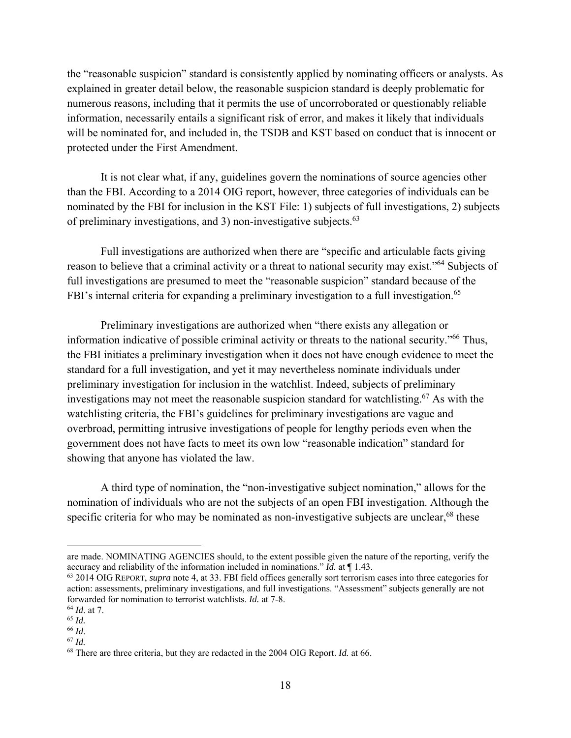the "reasonable suspicion" standard is consistently applied by nominating officers or analysts. As explained in greater detail below, the reasonable suspicion standard is deeply problematic for numerous reasons, including that it permits the use of uncorroborated or questionably reliable information, necessarily entails a significant risk of error, and makes it likely that individuals will be nominated for, and included in, the TSDB and KST based on conduct that is innocent or protected under the First Amendment.

It is not clear what, if any, guidelines govern the nominations of source agencies other than the FBI. According to a 2014 OIG report, however, three categories of individuals can be nominated by the FBI for inclusion in the KST File: 1) subjects of full investigations, 2) subjects of preliminary investigations, and 3) non-investigative subjects. $63$ 

Full investigations are authorized when there are "specific and articulable facts giving reason to believe that a criminal activity or a threat to national security may exist."64 Subjects of full investigations are presumed to meet the "reasonable suspicion" standard because of the FBI's internal criteria for expanding a preliminary investigation to a full investigation.<sup>65</sup>

Preliminary investigations are authorized when "there exists any allegation or information indicative of possible criminal activity or threats to the national security."66 Thus, the FBI initiates a preliminary investigation when it does not have enough evidence to meet the standard for a full investigation, and yet it may nevertheless nominate individuals under preliminary investigation for inclusion in the watchlist. Indeed, subjects of preliminary investigations may not meet the reasonable suspicion standard for watchlisting.<sup>67</sup> As with the watchlisting criteria, the FBI's guidelines for preliminary investigations are vague and overbroad, permitting intrusive investigations of people for lengthy periods even when the government does not have facts to meet its own low "reasonable indication" standard for showing that anyone has violated the law.

A third type of nomination, the "non-investigative subject nomination," allows for the nomination of individuals who are not the subjects of an open FBI investigation. Although the specific criteria for who may be nominated as non-investigative subjects are unclear, $68$  these

1

are made. NOMINATING AGENCIES should, to the extent possible given the nature of the reporting, verify the accuracy and reliability of the information included in nominations." *Id.* at ¶ 1.43.

<sup>63 2014</sup> OIG REPORT, *supra* note 4, at 33. FBI field offices generally sort terrorism cases into three categories for action: assessments, preliminary investigations, and full investigations. "Assessment" subjects generally are not forwarded for nomination to terrorist watchlists. *Id.* at 7-8.

<sup>64</sup> *Id*. at 7.

<sup>65</sup> *Id.* 

<sup>66</sup> *Id*. 67 *Id.* 

<sup>68</sup> There are three criteria, but they are redacted in the 2004 OIG Report. *Id.* at 66.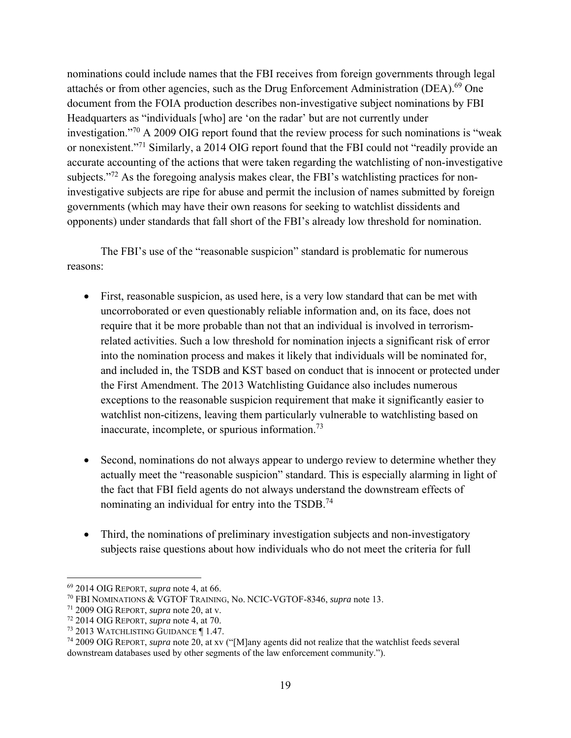nominations could include names that the FBI receives from foreign governments through legal attachés or from other agencies, such as the Drug Enforcement Administration (DEA).<sup>69</sup> One document from the FOIA production describes non-investigative subject nominations by FBI Headquarters as "individuals [who] are 'on the radar' but are not currently under investigation."70 A 2009 OIG report found that the review process for such nominations is "weak or nonexistent."71 Similarly, a 2014 OIG report found that the FBI could not "readily provide an accurate accounting of the actions that were taken regarding the watchlisting of non-investigative subjects."<sup>72</sup> As the foregoing analysis makes clear, the FBI's watchlisting practices for noninvestigative subjects are ripe for abuse and permit the inclusion of names submitted by foreign governments (which may have their own reasons for seeking to watchlist dissidents and opponents) under standards that fall short of the FBI's already low threshold for nomination.

 The FBI's use of the "reasonable suspicion" standard is problematic for numerous reasons:

- First, reasonable suspicion, as used here, is a very low standard that can be met with uncorroborated or even questionably reliable information and, on its face, does not require that it be more probable than not that an individual is involved in terrorismrelated activities. Such a low threshold for nomination injects a significant risk of error into the nomination process and makes it likely that individuals will be nominated for, and included in, the TSDB and KST based on conduct that is innocent or protected under the First Amendment. The 2013 Watchlisting Guidance also includes numerous exceptions to the reasonable suspicion requirement that make it significantly easier to watchlist non-citizens, leaving them particularly vulnerable to watchlisting based on inaccurate, incomplete, or spurious information.<sup>73</sup>
- Second, nominations do not always appear to undergo review to determine whether they actually meet the "reasonable suspicion" standard. This is especially alarming in light of the fact that FBI field agents do not always understand the downstream effects of nominating an individual for entry into the TSDB.<sup>74</sup>
- Third, the nominations of preliminary investigation subjects and non-investigatory subjects raise questions about how individuals who do not meet the criteria for full

1

<sup>69 2014</sup> OIG REPORT, *supra* note 4, at 66.

<sup>70</sup> FBI NOMINATIONS & VGTOF TRAINING, No. NCIC-VGTOF-8346, *supra* note 13.

<sup>71 2009</sup> OIG REPORT, *supra* note 20, at v.

<sup>72 2014</sup> OIG REPORT, *supra* note 4, at 70.

<sup>73 2013</sup> WATCHLISTING GUIDANCE ¶ 1.47.

<sup>74 2009</sup> OIG REPORT, *supra* note 20, at xv ("[M]any agents did not realize that the watchlist feeds several downstream databases used by other segments of the law enforcement community.").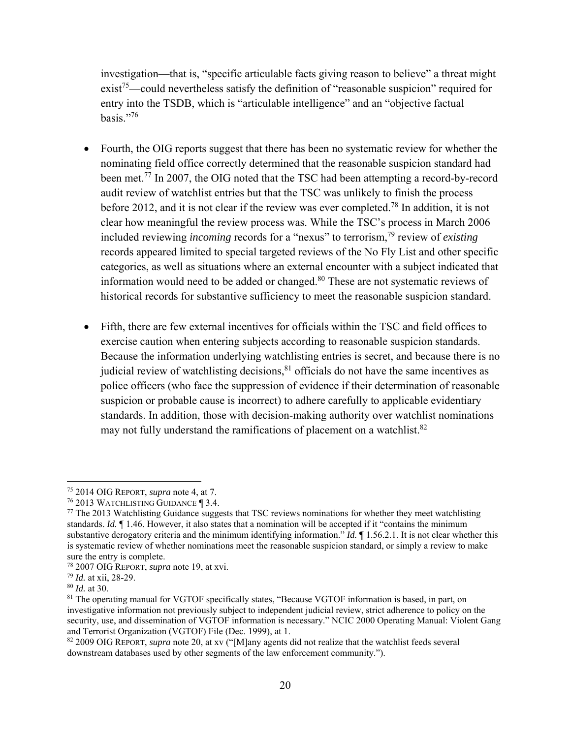investigation—that is, "specific articulable facts giving reason to believe" a threat might  $\text{exist}^{75}$ —could nevertheless satisfy the definition of "reasonable suspicion" required for entry into the TSDB, which is "articulable intelligence" and an "objective factual basis."76

- Fourth, the OIG reports suggest that there has been no systematic review for whether the nominating field office correctly determined that the reasonable suspicion standard had been met.<sup>77</sup> In 2007, the OIG noted that the TSC had been attempting a record-by-record audit review of watchlist entries but that the TSC was unlikely to finish the process before 2012, and it is not clear if the review was ever completed.<sup>78</sup> In addition, it is not clear how meaningful the review process was. While the TSC's process in March 2006 included reviewing *incoming* records for a "nexus" to terrorism,<sup>79</sup> review of *existing* records appeared limited to special targeted reviews of the No Fly List and other specific categories, as well as situations where an external encounter with a subject indicated that information would need to be added or changed.80 These are not systematic reviews of historical records for substantive sufficiency to meet the reasonable suspicion standard.
- Fifth, there are few external incentives for officials within the TSC and field offices to exercise caution when entering subjects according to reasonable suspicion standards. Because the information underlying watchlisting entries is secret, and because there is no judicial review of watchlisting decisions, $81$  officials do not have the same incentives as police officers (who face the suppression of evidence if their determination of reasonable suspicion or probable cause is incorrect) to adhere carefully to applicable evidentiary standards. In addition, those with decision-making authority over watchlist nominations may not fully understand the ramifications of placement on a watchlist. $82$

<sup>75 2014</sup> OIG REPORT, *supra* note 4, at 7.

 $<sup>77</sup>$  The 2013 Watchlisting Guidance suggests that TSC reviews nominations for whether they meet watchlisting</sup> standards. *Id.* ¶ 1.46. However, it also states that a nomination will be accepted if it "contains the minimum substantive derogatory criteria and the minimum identifying information." *Id.* ¶ 1.56.2.1. It is not clear whether this is systematic review of whether nominations meet the reasonable suspicion standard, or simply a review to make sure the entry is complete.

<sup>78 2007</sup> OIG REPORT, *supra* note 19, at xvi.

<sup>79</sup> *Id.* at xii, 28-29.

<sup>80</sup> *Id.* at 30.

<sup>&</sup>lt;sup>81</sup> The operating manual for VGTOF specifically states, "Because VGTOF information is based, in part, on investigative information not previously subject to independent judicial review, strict adherence to policy on the security, use, and dissemination of VGTOF information is necessary." NCIC 2000 Operating Manual: Violent Gang and Terrorist Organization (VGTOF) File (Dec. 1999), at 1.

<sup>82 2009</sup> OIG REPORT, *supra* note 20, at xv ("[M]any agents did not realize that the watchlist feeds several downstream databases used by other segments of the law enforcement community.").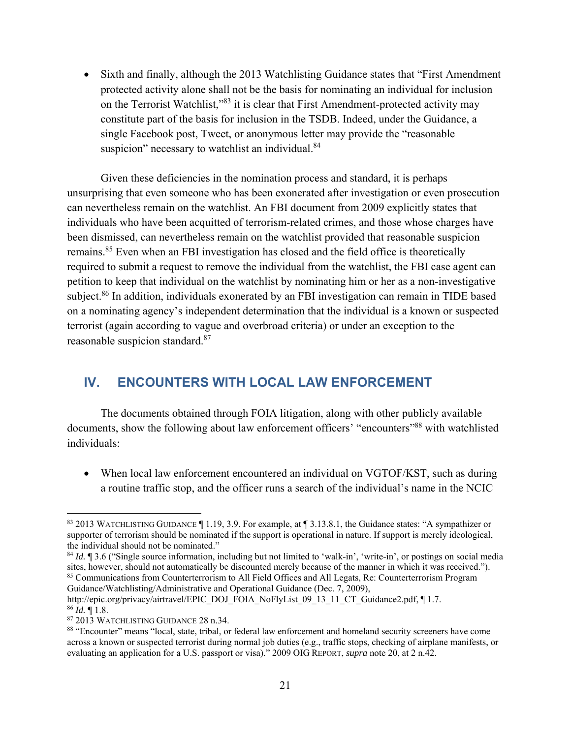• Sixth and finally, although the 2013 Watchlisting Guidance states that "First Amendment" protected activity alone shall not be the basis for nominating an individual for inclusion on the Terrorist Watchlist,"83 it is clear that First Amendment-protected activity may constitute part of the basis for inclusion in the TSDB. Indeed, under the Guidance, a single Facebook post, Tweet, or anonymous letter may provide the "reasonable suspicion" necessary to watchlist an individual.<sup>84</sup>

Given these deficiencies in the nomination process and standard, it is perhaps unsurprising that even someone who has been exonerated after investigation or even prosecution can nevertheless remain on the watchlist. An FBI document from 2009 explicitly states that individuals who have been acquitted of terrorism-related crimes, and those whose charges have been dismissed, can nevertheless remain on the watchlist provided that reasonable suspicion remains.<sup>85</sup> Even when an FBI investigation has closed and the field office is theoretically required to submit a request to remove the individual from the watchlist, the FBI case agent can petition to keep that individual on the watchlist by nominating him or her as a non-investigative subject.<sup>86</sup> In addition, individuals exonerated by an FBI investigation can remain in TIDE based on a nominating agency's independent determination that the individual is a known or suspected terrorist (again according to vague and overbroad criteria) or under an exception to the reasonable suspicion standard.87

## **IV. ENCOUNTERS WITH LOCAL LAW ENFORCEMENT**

 The documents obtained through FOIA litigation, along with other publicly available documents, show the following about law enforcement officers' "encounters"<sup>88</sup> with watchlisted individuals:

• When local law enforcement encountered an individual on VGTOF/KST, such as during a routine traffic stop, and the officer runs a search of the individual's name in the NCIC

<sup>83 2013</sup> WATCHLISTING GUIDANCE ¶ 1.19, 3.9. For example, at ¶ 3.13.8.1, the Guidance states: "A sympathizer or supporter of terrorism should be nominated if the support is operational in nature. If support is merely ideological, the individual should not be nominated."

<sup>84</sup> *Id.*  $\P$  3.6 ("Single source information, including but not limited to 'walk-in', 'write-in', or postings on social media sites, however, should not automatically be discounted merely because of the manner in which it was received."). 85 Communications from Counterterrorism to All Field Offices and All Legats, Re: Counterterrorism Program Guidance/Watchlisting/Administrative and Operational Guidance (Dec. 7, 2009),

http://epic.org/privacy/airtravel/EPIC\_DOJ\_FOIA\_NoFlyList\_09\_13\_11\_CT\_Guidance2.pdf, ¶ 1.7.  $^{86}$  *Id.*  $\llbracket$  1.8.

<sup>87 2013</sup> WATCHLISTING GUIDANCE 28 n.34.

<sup>88 &</sup>quot;Encounter" means "local, state, tribal, or federal law enforcement and homeland security screeners have come across a known or suspected terrorist during normal job duties (e.g., traffic stops, checking of airplane manifests, or evaluating an application for a U.S. passport or visa)." 2009 OIG REPORT, *supra* note 20, at 2 n.42.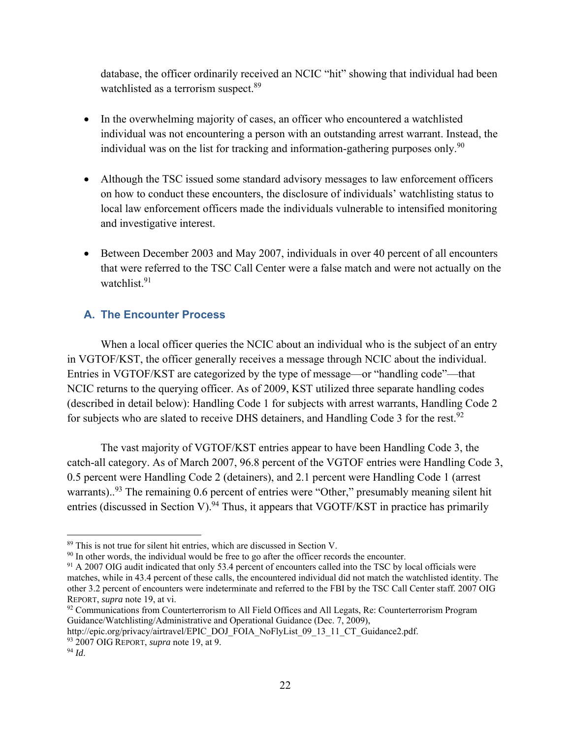database, the officer ordinarily received an NCIC "hit" showing that individual had been watchlisted as a terrorism suspect.<sup>89</sup>

- In the overwhelming majority of cases, an officer who encountered a watchlisted individual was not encountering a person with an outstanding arrest warrant. Instead, the individual was on the list for tracking and information-gathering purposes only.<sup>90</sup>
- Although the TSC issued some standard advisory messages to law enforcement officers on how to conduct these encounters, the disclosure of individuals' watchlisting status to local law enforcement officers made the individuals vulnerable to intensified monitoring and investigative interest.
- Between December 2003 and May 2007, individuals in over 40 percent of all encounters that were referred to the TSC Call Center were a false match and were not actually on the watchlist.<sup>91</sup>

## **A. The Encounter Process**

When a local officer queries the NCIC about an individual who is the subject of an entry in VGTOF/KST, the officer generally receives a message through NCIC about the individual. Entries in VGTOF/KST are categorized by the type of message—or "handling code"—that NCIC returns to the querying officer. As of 2009, KST utilized three separate handling codes (described in detail below): Handling Code 1 for subjects with arrest warrants, Handling Code 2 for subjects who are slated to receive DHS detainers, and Handling Code 3 for the rest.<sup>92</sup>

The vast majority of VGTOF/KST entries appear to have been Handling Code 3, the catch-all category. As of March 2007, 96.8 percent of the VGTOF entries were Handling Code 3, 0.5 percent were Handling Code 2 (detainers), and 2.1 percent were Handling Code 1 (arrest warrants)..<sup>93</sup> The remaining 0.6 percent of entries were "Other," presumably meaning silent hit entries (discussed in Section V).<sup>94</sup> Thus, it appears that VGOTF/KST in practice has primarily

<sup>92</sup> Communications from Counterterrorism to All Field Offices and All Legats, Re: Counterterrorism Program Guidance/Watchlisting/Administrative and Operational Guidance (Dec. 7, 2009),

http://epic.org/privacy/airtravel/EPIC\_DOJ\_FOIA\_NoFlyList\_09\_13\_11\_CT\_Guidance2.pdf. 93 2007 OIG REPORT, *supra* note 19, at 9.

<sup>89</sup> This is not true for silent hit entries, which are discussed in Section V.

<sup>&</sup>lt;sup>90</sup> In other words, the individual would be free to go after the officer records the encounter.

<sup>&</sup>lt;sup>91</sup> A 2007 OIG audit indicated that only 53.4 percent of encounters called into the TSC by local officials were matches, while in 43.4 percent of these calls, the encountered individual did not match the watchlisted identity. The other 3.2 percent of encounters were indeterminate and referred to the FBI by the TSC Call Center staff. 2007 OIG REPORT, *supra* note 19, at vi.

<sup>94</sup> *Id*.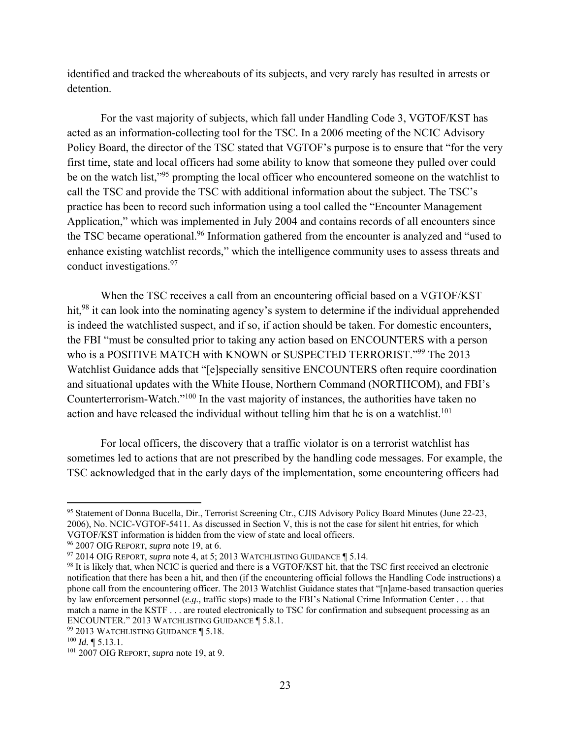identified and tracked the whereabouts of its subjects, and very rarely has resulted in arrests or detention.

 For the vast majority of subjects, which fall under Handling Code 3, VGTOF/KST has acted as an information-collecting tool for the TSC. In a 2006 meeting of the NCIC Advisory Policy Board, the director of the TSC stated that VGTOF's purpose is to ensure that "for the very first time, state and local officers had some ability to know that someone they pulled over could be on the watch list,"<sup>95</sup> prompting the local officer who encountered someone on the watchlist to call the TSC and provide the TSC with additional information about the subject. The TSC's practice has been to record such information using a tool called the "Encounter Management Application," which was implemented in July 2004 and contains records of all encounters since the TSC became operational.<sup>96</sup> Information gathered from the encounter is analyzed and "used to enhance existing watchlist records," which the intelligence community uses to assess threats and conduct investigations.<sup>97</sup>

When the TSC receives a call from an encountering official based on a VGTOF/KST hit,<sup>98</sup> it can look into the nominating agency's system to determine if the individual apprehended is indeed the watchlisted suspect, and if so, if action should be taken. For domestic encounters, the FBI "must be consulted prior to taking any action based on ENCOUNTERS with a person who is a POSITIVE MATCH with KNOWN or SUSPECTED TERRORIST."<sup>99</sup> The 2013 Watchlist Guidance adds that "[e]specially sensitive ENCOUNTERS often require coordination and situational updates with the White House, Northern Command (NORTHCOM), and FBI's Counterterrorism-Watch."100 In the vast majority of instances, the authorities have taken no action and have released the individual without telling him that he is on a watchlist.<sup>101</sup>

For local officers, the discovery that a traffic violator is on a terrorist watchlist has sometimes led to actions that are not prescribed by the handling code messages. For example, the TSC acknowledged that in the early days of the implementation, some encountering officers had

<sup>95</sup> Statement of Donna Bucella, Dir., Terrorist Screening Ctr., CJIS Advisory Policy Board Minutes (June 22-23, 2006), No. NCIC-VGTOF-5411. As discussed in Section V, this is not the case for silent hit entries, for which VGTOF/KST information is hidden from the view of state and local officers.

<sup>96 2007</sup> OIG REPORT, *supra* note 19, at 6.

<sup>97 2014</sup> OIG REPORT, *supra* note 4, at 5; 2013 WATCHLISTING GUIDANCE ¶ 5.14.

<sup>98</sup> It is likely that, when NCIC is queried and there is a VGTOF/KST hit, that the TSC first received an electronic notification that there has been a hit, and then (if the encountering official follows the Handling Code instructions) a phone call from the encountering officer. The 2013 Watchlist Guidance states that "[n]ame-based transaction queries by law enforcement personnel (*e.g.,* traffic stops) made to the FBI's National Crime Information Center . . . that match a name in the KSTF . . . are routed electronically to TSC for confirmation and subsequent processing as an ENCOUNTER." 2013 WATCHLISTING GUIDANCE ¶ 5.8.1.

<sup>99 2013</sup> WATCHLISTING GUIDANCE ¶ 5.18.

 $100$  *Id.*  $\blacksquare$  5.13.1.

<sup>101 2007</sup> OIG REPORT, *supra* note 19, at 9.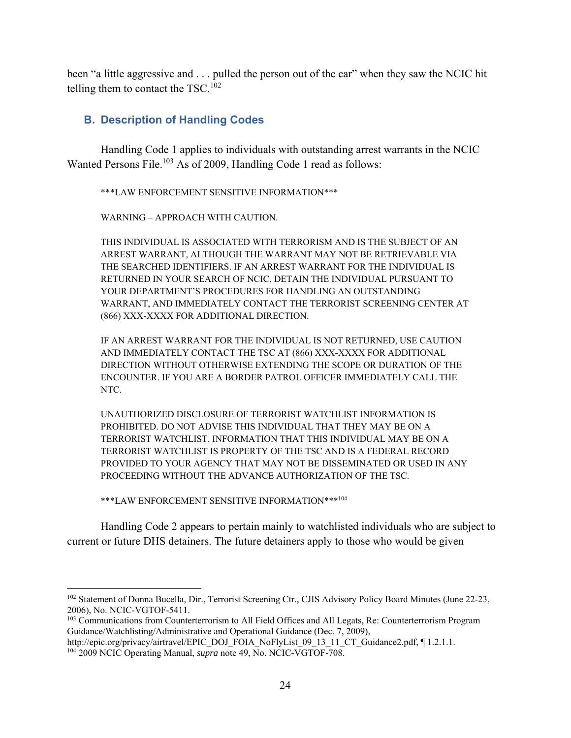been "a little aggressive and . . . pulled the person out of the car" when they saw the NCIC hit telling them to contact the  $TSC$ .<sup>102</sup>

#### **B. Description of Handling Codes**

Handling Code 1 applies to individuals with outstanding arrest warrants in the NCIC Wanted Persons File.<sup>103</sup> As of 2009, Handling Code 1 read as follows:

\*\*\*LAW ENFORCEMENT SENSITIVE INFORMATION\*\*\*

WARNING – APPROACH WITH CAUTION.

THIS INDIVIDUAL IS ASSOCIATED WITH TERRORISM AND IS THE SUBJECT OF AN ARREST WARRANT, ALTHOUGH THE WARRANT MAY NOT BE RETRIEVABLE VIA THE SEARCHED IDENTIFIERS. IF AN ARREST WARRANT FOR THE INDIVIDUAL IS RETURNED IN YOUR SEARCH OF NCIC, DETAIN THE INDIVIDUAL PURSUANT TO YOUR DEPARTMENT'S PROCEDURES FOR HANDLING AN OUTSTANDING WARRANT, AND IMMEDIATELY CONTACT THE TERRORIST SCREENING CENTER AT (866) XXX-XXXX FOR ADDITIONAL DIRECTION.

IF AN ARREST WARRANT FOR THE INDIVIDUAL IS NOT RETURNED, USE CAUTION AND IMMEDIATELY CONTACT THE TSC AT (866) XXX-XXXX FOR ADDITIONAL DIRECTION WITHOUT OTHERWISE EXTENDING THE SCOPE OR DURATION OF THE ENCOUNTER. IF YOU ARE A BORDER PATROL OFFICER IMMEDIATELY CALL THE NTC.

UNAUTHORIZED DISCLOSURE OF TERRORIST WATCHLIST INFORMATION IS PROHIBITED. DO NOT ADVISE THIS INDIVIDUAL THAT THEY MAY BE ON A TERRORIST WATCHLIST. INFORMATION THAT THIS INDIVIDUAL MAY BE ON A TERRORIST WATCHLIST IS PROPERTY OF THE TSC AND IS A FEDERAL RECORD PROVIDED TO YOUR AGENCY THAT MAY NOT BE DISSEMINATED OR USED IN ANY PROCEEDING WITHOUT THE ADVANCE AUTHORIZATION OF THE TSC.

\*\*\*LAW ENFORCEMENT SENSITIVE INFORMATION\*\*\*104

 $\overline{a}$ 

Handling Code 2 appears to pertain mainly to watchlisted individuals who are subject to current or future DHS detainers. The future detainers apply to those who would be given

<sup>&</sup>lt;sup>102</sup> Statement of Donna Bucella, Dir., Terrorist Screening Ctr., CJIS Advisory Policy Board Minutes (June 22-23, 2006), No. NCIC-VGTOF-5411.

<sup>&</sup>lt;sup>103</sup> Communications from Counterterrorism to All Field Offices and All Legats, Re: Counterterrorism Program Guidance/Watchlisting/Administrative and Operational Guidance (Dec. 7, 2009),

http://epic.org/privacy/airtravel/EPIC\_DOJ\_FOIA\_NoFlyList\_09\_13\_11\_CT\_Guidance2.pdf, [1.2.1.1.]. 104 2009 NCIC Operating Manual, *supra* note 49, No. NCIC-VGTOF-708.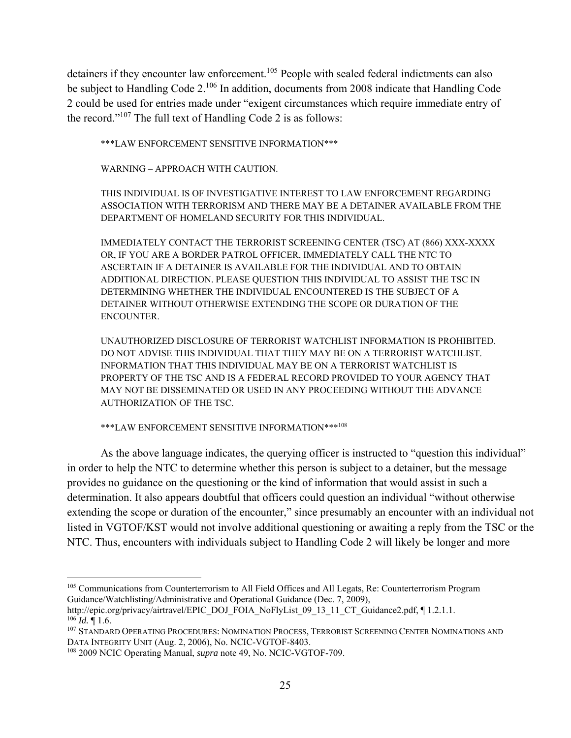detainers if they encounter law enforcement.<sup>105</sup> People with sealed federal indictments can also be subject to Handling Code 2.<sup>106</sup> In addition, documents from 2008 indicate that Handling Code 2 could be used for entries made under "exigent circumstances which require immediate entry of the record."107 The full text of Handling Code 2 is as follows:

\*\*\*LAW ENFORCEMENT SENSITIVE INFORMATION\*\*\*

WARNING – APPROACH WITH CAUTION.

THIS INDIVIDUAL IS OF INVESTIGATIVE INTEREST TO LAW ENFORCEMENT REGARDING ASSOCIATION WITH TERRORISM AND THERE MAY BE A DETAINER AVAILABLE FROM THE DEPARTMENT OF HOMELAND SECURITY FOR THIS INDIVIDUAL.

IMMEDIATELY CONTACT THE TERRORIST SCREENING CENTER (TSC) AT (866) XXX-XXXX OR, IF YOU ARE A BORDER PATROL OFFICER, IMMEDIATELY CALL THE NTC TO ASCERTAIN IF A DETAINER IS AVAILABLE FOR THE INDIVIDUAL AND TO OBTAIN ADDITIONAL DIRECTION. PLEASE QUESTION THIS INDIVIDUAL TO ASSIST THE TSC IN DETERMINING WHETHER THE INDIVIDUAL ENCOUNTERED IS THE SUBJECT OF A DETAINER WITHOUT OTHERWISE EXTENDING THE SCOPE OR DURATION OF THE ENCOUNTER.

UNAUTHORIZED DISCLOSURE OF TERRORIST WATCHLIST INFORMATION IS PROHIBITED. DO NOT ADVISE THIS INDIVIDUAL THAT THEY MAY BE ON A TERRORIST WATCHLIST. INFORMATION THAT THIS INDIVIDUAL MAY BE ON A TERRORIST WATCHLIST IS PROPERTY OF THE TSC AND IS A FEDERAL RECORD PROVIDED TO YOUR AGENCY THAT MAY NOT BE DISSEMINATED OR USED IN ANY PROCEEDING WITHOUT THE ADVANCE AUTHORIZATION OF THE TSC.

\*\*\*LAW ENFORCEMENT SENSITIVE INFORMATION\*\*\*108

As the above language indicates, the querying officer is instructed to "question this individual" in order to help the NTC to determine whether this person is subject to a detainer, but the message provides no guidance on the questioning or the kind of information that would assist in such a determination. It also appears doubtful that officers could question an individual "without otherwise extending the scope or duration of the encounter," since presumably an encounter with an individual not listed in VGTOF/KST would not involve additional questioning or awaiting a reply from the TSC or the NTC. Thus, encounters with individuals subject to Handling Code 2 will likely be longer and more

 $\overline{a}$ <sup>105</sup> Communications from Counterterrorism to All Field Offices and All Legats, Re: Counterterrorism Program Guidance/Watchlisting/Administrative and Operational Guidance (Dec. 7, 2009),

http://epic.org/privacy/airtravel/EPIC\_DOJ\_FOIA\_NoFlyList\_09\_13\_11\_CT\_Guidance2.pdf, ¶ 1.2.1.1.  $106$  *Id.* 1.6.

<sup>&</sup>lt;sup>107</sup> STANDARD OPERATING PROCEDURES: NOMINATION PROCESS, TERRORIST SCREENING CENTER NOMINATIONS AND DATA INTEGRITY UNIT (Aug. 2, 2006), No. NCIC-VGTOF-8403.

<sup>108 2009</sup> NCIC Operating Manual, *supra* note 49, No. NCIC-VGTOF-709.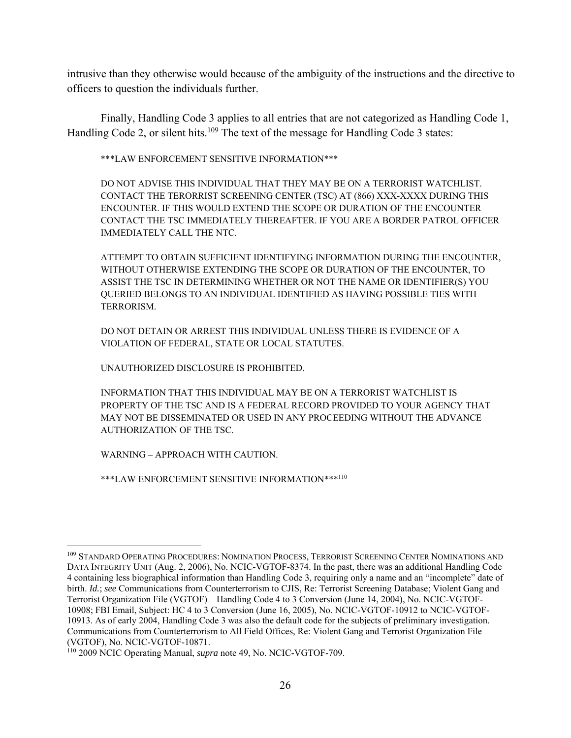intrusive than they otherwise would because of the ambiguity of the instructions and the directive to officers to question the individuals further.

Finally, Handling Code 3 applies to all entries that are not categorized as Handling Code 1, Handling Code 2, or silent hits.<sup>109</sup> The text of the message for Handling Code 3 states:

\*\*\*LAW ENFORCEMENT SENSITIVE INFORMATION\*\*\*

DO NOT ADVISE THIS INDIVIDUAL THAT THEY MAY BE ON A TERRORIST WATCHLIST. CONTACT THE TERORRIST SCREENING CENTER (TSC) AT (866) XXX-XXXX DURING THIS ENCOUNTER. IF THIS WOULD EXTEND THE SCOPE OR DURATION OF THE ENCOUNTER CONTACT THE TSC IMMEDIATELY THEREAFTER. IF YOU ARE A BORDER PATROL OFFICER IMMEDIATELY CALL THE NTC.

ATTEMPT TO OBTAIN SUFFICIENT IDENTIFYING INFORMATION DURING THE ENCOUNTER, WITHOUT OTHERWISE EXTENDING THE SCOPE OR DURATION OF THE ENCOUNTER, TO ASSIST THE TSC IN DETERMINING WHETHER OR NOT THE NAME OR IDENTIFIER(S) YOU QUERIED BELONGS TO AN INDIVIDUAL IDENTIFIED AS HAVING POSSIBLE TIES WITH TERRORISM.

DO NOT DETAIN OR ARREST THIS INDIVIDUAL UNLESS THERE IS EVIDENCE OF A VIOLATION OF FEDERAL, STATE OR LOCAL STATUTES.

UNAUTHORIZED DISCLOSURE IS PROHIBITED.

INFORMATION THAT THIS INDIVIDUAL MAY BE ON A TERRORIST WATCHLIST IS PROPERTY OF THE TSC AND IS A FEDERAL RECORD PROVIDED TO YOUR AGENCY THAT MAY NOT BE DISSEMINATED OR USED IN ANY PROCEEDING WITHOUT THE ADVANCE AUTHORIZATION OF THE TSC.

WARNING – APPROACH WITH CAUTION.

 $\overline{a}$ 

\*\*\*LAW ENFORCEMENT SENSITIVE INFORMATION\*\*\*110

<sup>&</sup>lt;sup>109</sup> STANDARD OPERATING PROCEDURES: NOMINATION PROCESS, TERRORIST SCREENING CENTER NOMINATIONS AND DATA INTEGRITY UNIT (Aug. 2, 2006), No. NCIC-VGTOF-8374. In the past, there was an additional Handling Code 4 containing less biographical information than Handling Code 3, requiring only a name and an "incomplete" date of birth. *Id.*; *see* Communications from Counterterrorism to CJIS, Re: Terrorist Screening Database; Violent Gang and Terrorist Organization File (VGTOF) – Handling Code 4 to 3 Conversion (June 14, 2004), No. NCIC-VGTOF-10908; FBI Email, Subject: HC 4 to 3 Conversion (June 16, 2005), No. NCIC-VGTOF-10912 to NCIC-VGTOF-10913. As of early 2004, Handling Code 3 was also the default code for the subjects of preliminary investigation. Communications from Counterterrorism to All Field Offices, Re: Violent Gang and Terrorist Organization File (VGTOF), No. NCIC-VGTOF-10871.

<sup>110 2009</sup> NCIC Operating Manual, *supra* note 49, No. NCIC-VGTOF-709.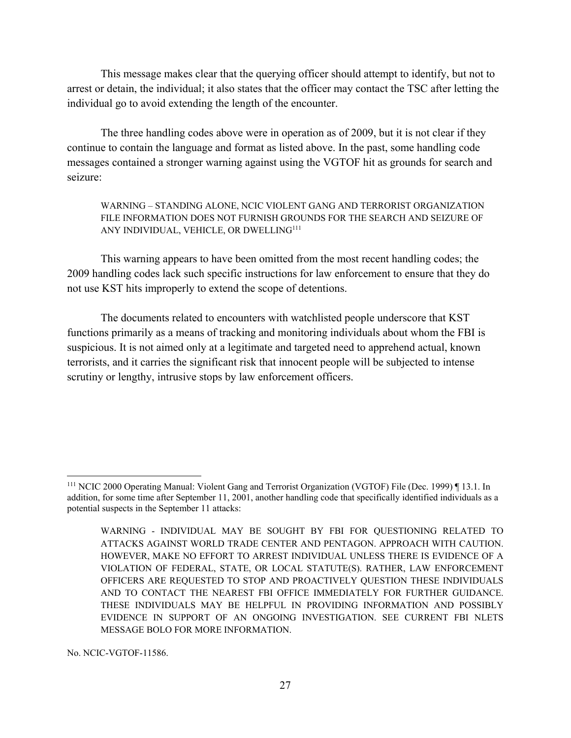This message makes clear that the querying officer should attempt to identify, but not to arrest or detain, the individual; it also states that the officer may contact the TSC after letting the individual go to avoid extending the length of the encounter.

 The three handling codes above were in operation as of 2009, but it is not clear if they continue to contain the language and format as listed above. In the past, some handling code messages contained a stronger warning against using the VGTOF hit as grounds for search and seizure:

WARNING – STANDING ALONE, NCIC VIOLENT GANG AND TERRORIST ORGANIZATION FILE INFORMATION DOES NOT FURNISH GROUNDS FOR THE SEARCH AND SEIZURE OF ANY INDIVIDUAL, VEHICLE, OR DWELLING111

This warning appears to have been omitted from the most recent handling codes; the 2009 handling codes lack such specific instructions for law enforcement to ensure that they do not use KST hits improperly to extend the scope of detentions.

The documents related to encounters with watchlisted people underscore that KST functions primarily as a means of tracking and monitoring individuals about whom the FBI is suspicious. It is not aimed only at a legitimate and targeted need to apprehend actual, known terrorists, and it carries the significant risk that innocent people will be subjected to intense scrutiny or lengthy, intrusive stops by law enforcement officers.

No. NCIC-VGTOF-11586.

<sup>111</sup> NCIC 2000 Operating Manual: Violent Gang and Terrorist Organization (VGTOF) File (Dec. 1999) ¶ 13.1. In addition, for some time after September 11, 2001, another handling code that specifically identified individuals as a potential suspects in the September 11 attacks:

WARNING - INDIVIDUAL MAY BE SOUGHT BY FBI FOR QUESTIONING RELATED TO ATTACKS AGAINST WORLD TRADE CENTER AND PENTAGON. APPROACH WITH CAUTION. HOWEVER, MAKE NO EFFORT TO ARREST INDIVIDUAL UNLESS THERE IS EVIDENCE OF A VIOLATION OF FEDERAL, STATE, OR LOCAL STATUTE(S). RATHER, LAW ENFORCEMENT OFFICERS ARE REQUESTED TO STOP AND PROACTIVELY QUESTION THESE INDIVIDUALS AND TO CONTACT THE NEAREST FBI OFFICE IMMEDIATELY FOR FURTHER GUIDANCE. THESE INDIVIDUALS MAY BE HELPFUL IN PROVIDING INFORMATION AND POSSIBLY EVIDENCE IN SUPPORT OF AN ONGOING INVESTIGATION. SEE CURRENT FBI NLETS MESSAGE BOLO FOR MORE INFORMATION.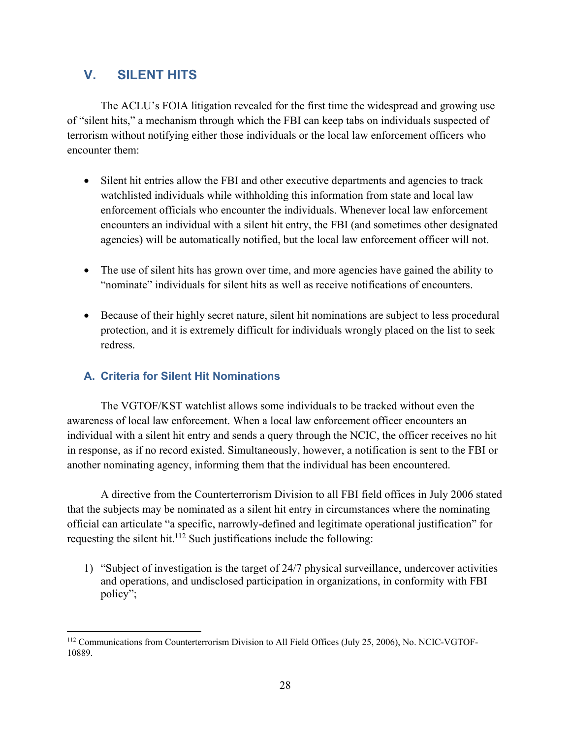## **V. SILENT HITS**

The ACLU's FOIA litigation revealed for the first time the widespread and growing use of "silent hits," a mechanism through which the FBI can keep tabs on individuals suspected of terrorism without notifying either those individuals or the local law enforcement officers who encounter them:

- Silent hit entries allow the FBI and other executive departments and agencies to track watchlisted individuals while withholding this information from state and local law enforcement officials who encounter the individuals. Whenever local law enforcement encounters an individual with a silent hit entry, the FBI (and sometimes other designated agencies) will be automatically notified, but the local law enforcement officer will not.
- The use of silent hits has grown over time, and more agencies have gained the ability to "nominate" individuals for silent hits as well as receive notifications of encounters.
- Because of their highly secret nature, silent hit nominations are subject to less procedural protection, and it is extremely difficult for individuals wrongly placed on the list to seek redress.

## **A. Criteria for Silent Hit Nominations**

The VGTOF/KST watchlist allows some individuals to be tracked without even the awareness of local law enforcement. When a local law enforcement officer encounters an individual with a silent hit entry and sends a query through the NCIC, the officer receives no hit in response, as if no record existed. Simultaneously, however, a notification is sent to the FBI or another nominating agency, informing them that the individual has been encountered.

 A directive from the Counterterrorism Division to all FBI field offices in July 2006 stated that the subjects may be nominated as a silent hit entry in circumstances where the nominating official can articulate "a specific, narrowly-defined and legitimate operational justification" for requesting the silent hit.<sup>112</sup> Such justifications include the following:

1) "Subject of investigation is the target of 24/7 physical surveillance, undercover activities and operations, and undisclosed participation in organizations, in conformity with FBI policy";

 $\overline{a}$ 112 Communications from Counterterrorism Division to All Field Offices (July 25, 2006), No. NCIC-VGTOF-10889.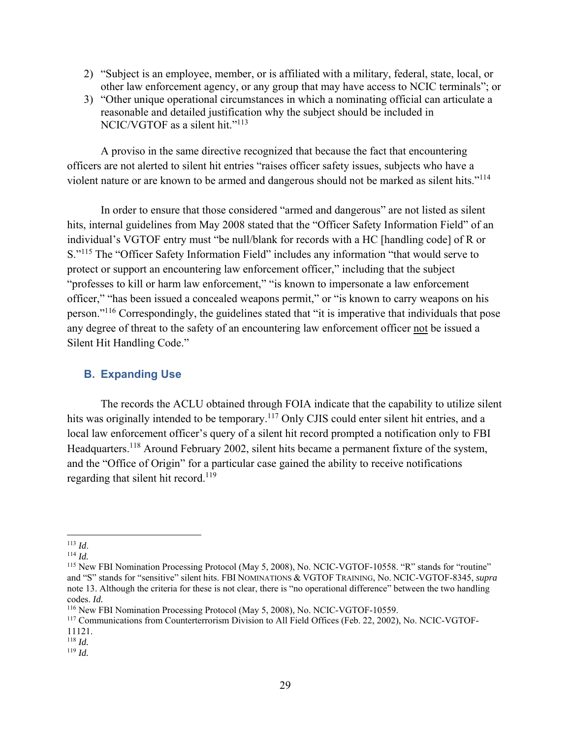- 2) "Subject is an employee, member, or is affiliated with a military, federal, state, local, or other law enforcement agency, or any group that may have access to NCIC terminals"; or
- 3) "Other unique operational circumstances in which a nominating official can articulate a reasonable and detailed justification why the subject should be included in NCIC/VGTOF as a silent hit."<sup>113</sup>

A proviso in the same directive recognized that because the fact that encountering officers are not alerted to silent hit entries "raises officer safety issues, subjects who have a violent nature or are known to be armed and dangerous should not be marked as silent hits."114

In order to ensure that those considered "armed and dangerous" are not listed as silent hits, internal guidelines from May 2008 stated that the "Officer Safety Information Field" of an individual's VGTOF entry must "be null/blank for records with a HC [handling code] of R or S."115 The "Officer Safety Information Field" includes any information "that would serve to protect or support an encountering law enforcement officer," including that the subject "professes to kill or harm law enforcement," "is known to impersonate a law enforcement officer," "has been issued a concealed weapons permit," or "is known to carry weapons on his person."116 Correspondingly, the guidelines stated that "it is imperative that individuals that pose any degree of threat to the safety of an encountering law enforcement officer not be issued a Silent Hit Handling Code."

#### **B. Expanding Use**

The records the ACLU obtained through FOIA indicate that the capability to utilize silent hits was originally intended to be temporary.<sup>117</sup> Only CJIS could enter silent hit entries, and a local law enforcement officer's query of a silent hit record prompted a notification only to FBI Headquarters.<sup>118</sup> Around February 2002, silent hits became a permanent fixture of the system, and the "Office of Origin" for a particular case gained the ability to receive notifications regarding that silent hit record.<sup>119</sup>

<sup>&</sup>lt;sup>113</sup> *Id.*<br><sup>114</sup> *Id.* 114 *Id.* 115 Nomination Processing Protocol (May 5, 2008), No. NCIC-VGTOF-10558. "R" stands for "routine" and "S" stands for "sensitive" silent hits. FBI NOMINATIONS & VGTOF TRAINING, No. NCIC-VGTOF-8345, *supra* note 13. Although the criteria for these is not clear, there is "no operational difference" between the two handling codes. *Id.* 

<sup>116</sup> New FBI Nomination Processing Protocol (May 5, 2008), No. NCIC-VGTOF-10559.

<sup>117</sup> Communications from Counterterrorism Division to All Field Offices (Feb. 22, 2002), No. NCIC-VGTOF-11121.

 $118$  *Id.* 

<sup>119</sup> *Id.*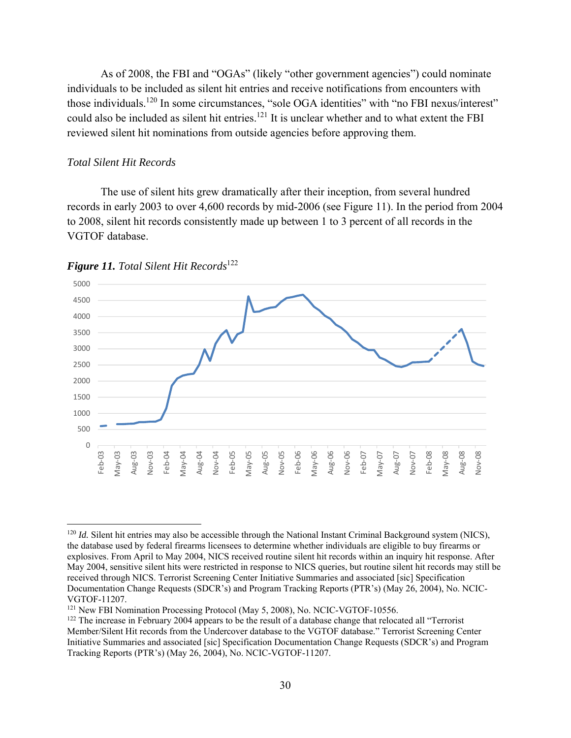As of 2008, the FBI and "OGAs" (likely "other government agencies") could nominate individuals to be included as silent hit entries and receive notifications from encounters with those individuals.120 In some circumstances, "sole OGA identities" with "no FBI nexus/interest" could also be included as silent hit entries.<sup>121</sup> It is unclear whether and to what extent the FBI reviewed silent hit nominations from outside agencies before approving them.

#### *Total Silent Hit Records*

 $\overline{a}$ 

The use of silent hits grew dramatically after their inception, from several hundred records in early 2003 to over 4,600 records by mid-2006 (see Figure 11). In the period from 2004 to 2008, silent hit records consistently made up between 1 to 3 percent of all records in the VGTOF database.



*Figure 11. Total Silent Hit Records*<sup>122</sup>

<sup>&</sup>lt;sup>120</sup> *Id.* Silent hit entries may also be accessible through the National Instant Criminal Background system (NICS), the database used by federal firearms licensees to determine whether individuals are eligible to buy firearms or explosives. From April to May 2004, NICS received routine silent hit records within an inquiry hit response. After May 2004, sensitive silent hits were restricted in response to NICS queries, but routine silent hit records may still be received through NICS. Terrorist Screening Center Initiative Summaries and associated [sic] Specification Documentation Change Requests (SDCR's) and Program Tracking Reports (PTR's) (May 26, 2004), No. NCIC-VGTOF-11207.<br><sup>121</sup> New FBI Nomination Processing Protocol (May 5, 2008), No. NCIC-VGTOF-10556.

 $122$  The increase in February 2004 appears to be the result of a database change that relocated all "Terrorist" Member/Silent Hit records from the Undercover database to the VGTOF database." Terrorist Screening Center Initiative Summaries and associated [sic] Specification Documentation Change Requests (SDCR's) and Program Tracking Reports (PTR's) (May 26, 2004), No. NCIC-VGTOF-11207.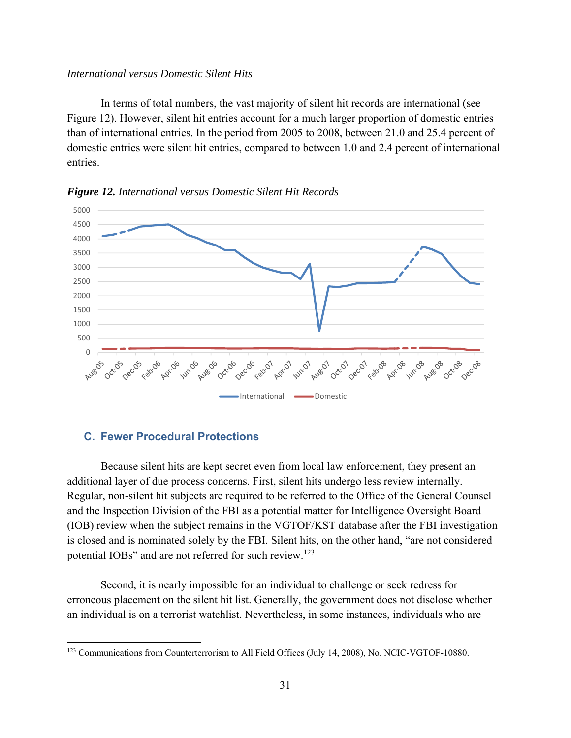#### *International versus Domestic Silent Hits*

In terms of total numbers, the vast majority of silent hit records are international (see Figure 12). However, silent hit entries account for a much larger proportion of domestic entries than of international entries. In the period from 2005 to 2008, between 21.0 and 25.4 percent of domestic entries were silent hit entries, compared to between 1.0 and 2.4 percent of international entries.



*Figure 12. International versus Domestic Silent Hit Records* 

## **C. Fewer Procedural Protections**

 $\overline{a}$ 

Because silent hits are kept secret even from local law enforcement, they present an additional layer of due process concerns. First, silent hits undergo less review internally. Regular, non-silent hit subjects are required to be referred to the Office of the General Counsel and the Inspection Division of the FBI as a potential matter for Intelligence Oversight Board (IOB) review when the subject remains in the VGTOF/KST database after the FBI investigation is closed and is nominated solely by the FBI. Silent hits, on the other hand, "are not considered potential IOBs" and are not referred for such review.<sup>123</sup>

Second, it is nearly impossible for an individual to challenge or seek redress for erroneous placement on the silent hit list. Generally, the government does not disclose whether an individual is on a terrorist watchlist. Nevertheless, in some instances, individuals who are

<sup>&</sup>lt;sup>123</sup> Communications from Counterterrorism to All Field Offices (July 14, 2008), No. NCIC-VGTOF-10880.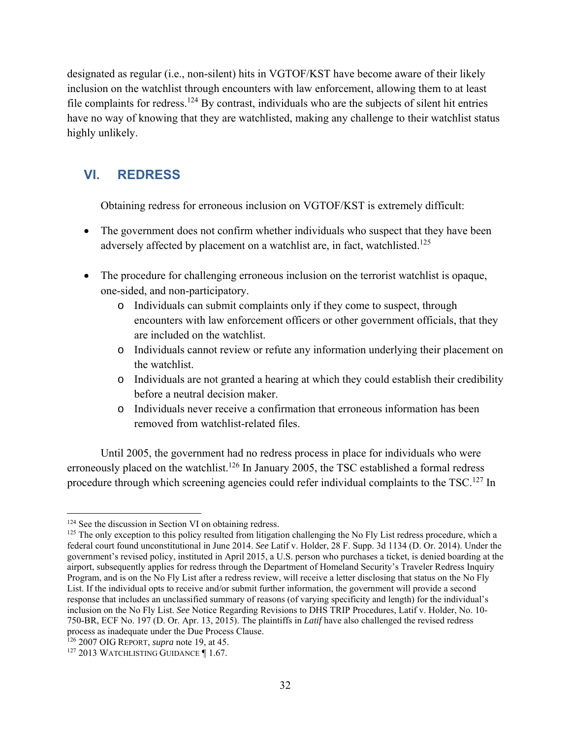designated as regular (i.e., non-silent) hits in VGTOF/KST have become aware of their likely inclusion on the watchlist through encounters with law enforcement, allowing them to at least file complaints for redress.<sup>124</sup> By contrast, individuals who are the subjects of silent hit entries have no way of knowing that they are watchlisted, making any challenge to their watchlist status highly unlikely.

## **VI. REDRESS**

Obtaining redress for erroneous inclusion on VGTOF/KST is extremely difficult:

- The government does not confirm whether individuals who suspect that they have been adversely affected by placement on a watchlist are, in fact, watchlisted.<sup>125</sup>
- The procedure for challenging erroneous inclusion on the terrorist watchlist is opaque, one-sided, and non-participatory.
	- o Individuals can submit complaints only if they come to suspect, through encounters with law enforcement officers or other government officials, that they are included on the watchlist.
	- o Individuals cannot review or refute any information underlying their placement on the watchlist.
	- o Individuals are not granted a hearing at which they could establish their credibility before a neutral decision maker.
	- o Individuals never receive a confirmation that erroneous information has been removed from watchlist-related files.

Until 2005, the government had no redress process in place for individuals who were erroneously placed on the watchlist.<sup>126</sup> In January 2005, the TSC established a formal redress procedure through which screening agencies could refer individual complaints to the TSC.<sup>127</sup> In

<sup>&</sup>lt;sup>124</sup> See the discussion in Section VI on obtaining redress.

 $125$  The only exception to this policy resulted from litigation challenging the No Fly List redress procedure, which a federal court found unconstitutional in June 2014. *See* Latif v. Holder, 28 F. Supp. 3d 1134 (D. Or. 2014). Under the government's revised policy, instituted in April 2015, a U.S. person who purchases a ticket, is denied boarding at the airport, subsequently applies for redress through the Department of Homeland Security's Traveler Redress Inquiry Program, and is on the No Fly List after a redress review, will receive a letter disclosing that status on the No Fly List. If the individual opts to receive and/or submit further information, the government will provide a second response that includes an unclassified summary of reasons (of varying specificity and length) for the individual's inclusion on the No Fly List. *See* Notice Regarding Revisions to DHS TRIP Procedures, Latif v. Holder, No. 10- 750-BR, ECF No. 197 (D. Or. Apr. 13, 2015). The plaintiffs in *Latif* have also challenged the revised redress process as inadequate under the Due Process Clause.

<sup>126 2007</sup> OIG REPORT, *supra* note 19, at 45.

<sup>&</sup>lt;sup>127</sup> 2013 WATCHLISTING GUIDANCE 1.67.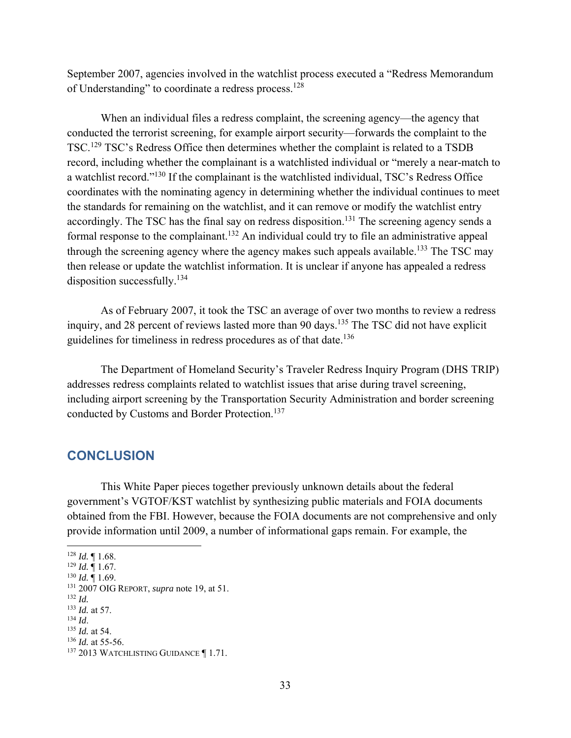September 2007, agencies involved in the watchlist process executed a "Redress Memorandum of Understanding" to coordinate a redress process.<sup>128</sup>

When an individual files a redress complaint, the screening agency—the agency that conducted the terrorist screening, for example airport security—forwards the complaint to the TSC.129 TSC's Redress Office then determines whether the complaint is related to a TSDB record, including whether the complainant is a watchlisted individual or "merely a near-match to a watchlist record."130 If the complainant is the watchlisted individual, TSC's Redress Office coordinates with the nominating agency in determining whether the individual continues to meet the standards for remaining on the watchlist, and it can remove or modify the watchlist entry accordingly. The TSC has the final say on redress disposition.<sup>131</sup> The screening agency sends a formal response to the complainant.<sup>132</sup> An individual could try to file an administrative appeal through the screening agency where the agency makes such appeals available.<sup>133</sup> The TSC may then release or update the watchlist information. It is unclear if anyone has appealed a redress disposition successfully.<sup>134</sup>

As of February 2007, it took the TSC an average of over two months to review a redress inquiry, and 28 percent of reviews lasted more than 90 days.<sup>135</sup> The TSC did not have explicit guidelines for timeliness in redress procedures as of that date.<sup>136</sup>

The Department of Homeland Security's Traveler Redress Inquiry Program (DHS TRIP) addresses redress complaints related to watchlist issues that arise during travel screening, including airport screening by the Transportation Security Administration and border screening conducted by Customs and Border Protection.137

## **CONCLUSION**

 This White Paper pieces together previously unknown details about the federal government's VGTOF/KST watchlist by synthesizing public materials and FOIA documents obtained from the FBI. However, because the FOIA documents are not comprehensive and only provide information until 2009, a number of informational gaps remain. For example, the

- <sup>133</sup> *Id.* at 57.
- <sup>134</sup> *Id.* 135 *Id.* at 54.
- <sup>136</sup> *Id.* at 55-56.

 $128$  *Id.*  $\llbracket 1.68$ .

<sup>129</sup> *Id.* ¶ 1.67.

<sup>130</sup> *Id.* ¶ 1.69.

<sup>131 2007</sup> OIG REPORT, *supra* note 19, at 51.

<sup>132</sup> *Id.* 

<sup>137 2013</sup> WATCHLISTING GUIDANCE ¶ 1.71.